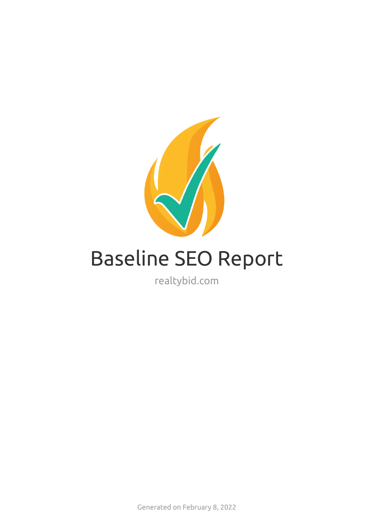

# Baseline SEO Report

realtybid.com

Generated on February 8, 2022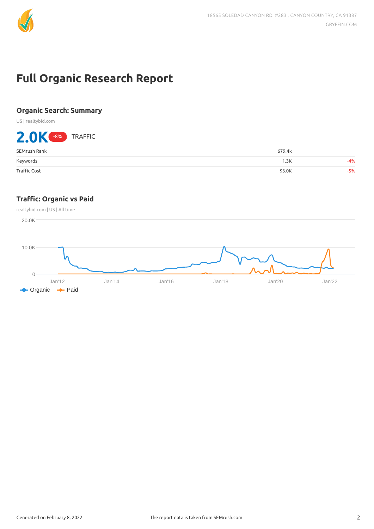

## **Full Organic Research Report**

## **Organic Search: Summary**

US | realtybid.com

## 2.0K -8% TRAFFIC SEMrush Rank 679.4k Keywords 1.3K -4% Trac Cost \$3.0K -5%

## **Trac: Organic vs Paid**

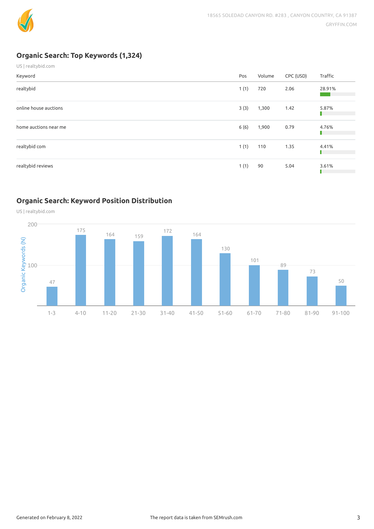

## **Organic Search: Top Keywords (1,324)**

| US   realtybid.com    |      |        |           |         |
|-----------------------|------|--------|-----------|---------|
| Keyword               | Pos  | Volume | CPC (USD) | Traffic |
| realtybid             | 1(1) | 720    | 2.06      | 28.91%  |
| online house auctions | 3(3) | 1,300  | 1.42      | 5.87%   |
| home auctions near me | 6(6) | 1,900  | 0.79      | 4.76%   |
| realtybid com         | 1(1) | 110    | 1.35      | 4.41%   |
| realtybid reviews     | 1(1) | 90     | 5.04      | 3.61%   |

## **Organic Search: Keyword Position Distribution**

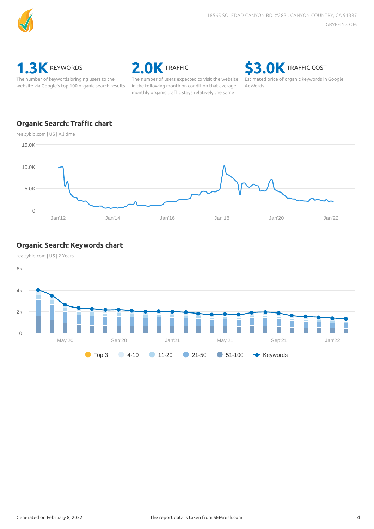



The number of keywords bringing users to the website via Google's top 100 organic search results



The number of users expected to visit the website in the following month on condition that average monthly organic traffic stays relatively the same

**\$3.0K** TRAFFIC COST

Estimated price of organic keywords in Google AdWords

## **Organic Search: Traffic chart**



### **Organic Search: Keywords chart**



realtybid.com | US | 2 Years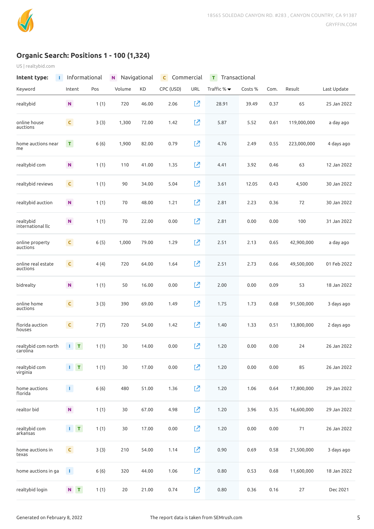

## **Organic Search: Positions 1 - 100 (1,324)**

US | realtybid.com

| Intent type:<br>т               |                             | Informational | N      | Navigational | C         | Commercial | Transactional<br>т              |         |      |             |             |
|---------------------------------|-----------------------------|---------------|--------|--------------|-----------|------------|---------------------------------|---------|------|-------------|-------------|
| Keyword                         | Intent                      | Pos           | Volume | KD           | CPC (USD) | <b>URL</b> | Traffic $% \blacktriangleright$ | Costs % | Com. | Result      | Last Update |
| realtybid                       | ${\bf N}$                   | 1(1)          | 720    | 46.00        | 2.06      | 囜          | 28.91                           | 39.49   | 0.37 | 65          | 25 Jan 2022 |
| online house<br>auctions        | $\mathsf{C}$                | 3(3)          | 1,300  | 72.00        | 1.42      | 진          | 5.87                            | 5.52    | 0.61 | 119,000,000 | a day ago   |
| home auctions near<br>me        | $\mathsf T$                 | 6(6)          | 1,900  | 82.00        | 0.79      | 진          | 4.76                            | 2.49    | 0.55 | 223,000,000 | 4 days ago  |
| realtybid com                   | ${\bf N}$                   | 1(1)          | 110    | 41.00        | 1.35      | 진          | 4.41                            | 3.92    | 0.46 | 63          | 12 Jan 2022 |
| realtybid reviews               | $\mathsf{C}$                | 1(1)          | 90     | 34.00        | 5.04      | 진          | 3.61                            | 12.05   | 0.43 | 4,500       | 30 Jan 2022 |
| realtybid auction               | ${\bf N}$                   | 1(1)          | 70     | 48.00        | 1.21      | 진          | 2.81                            | 2.23    | 0.36 | 72          | 30 Jan 2022 |
| realtybid<br>international llc  | ${\bf N}$                   | 1(1)          | 70     | 22.00        | 0.00      | 囜          | 2.81                            | 0.00    | 0.00 | 100         | 31 Jan 2022 |
| online property<br>auctions     | $\mathsf{C}$                | 6(5)          | 1,000  | 79.00        | 1.29      | 囜          | 2.51                            | 2.13    | 0.65 | 42,900,000  | a day ago   |
| online real estate<br>auctions  | $\mathsf{C}$                | 4(4)          | 720    | 64.00        | 1.64      | 内          | 2.51                            | 2.73    | 0.66 | 49,500,000  | 01 Feb 2022 |
| bidrealty                       | $\mathsf{N}$                | 1(1)          | 50     | 16.00        | 0.00      | 内          | 2.00                            | 0.00    | 0.09 | 53          | 18 Jan 2022 |
| online home<br>auctions         | $\mathsf{C}$                | 3(3)          | 390    | 69.00        | 1.49      | 内          | 1.75                            | 1.73    | 0.68 | 91,500,000  | 3 days ago  |
| florida auction<br>houses       | $\mathsf C$                 | 7(7)          | 720    | 54.00        | 1.42      | 囜          | 1.40                            | 1.33    | 0.51 | 13,800,000  | 2 days ago  |
| realtybid com north<br>carolina | $\mathbf{I}$ $\mathbf{T}$   | 1(1)          | 30     | 14.00        | 0.00      | 囜          | 1.20                            | 0.00    | 0.00 | 24          | 26 Jan 2022 |
| realtybid com<br>virginia       | $\mathbf{1} \in \mathbf{T}$ | 1(1)          | $30$   | 17.00        | 0.00      | 内          | 1.20                            | 0.00    | 0.00 | 85          | 26 Jan 2022 |
| home auctions<br>florida        | $\mathbf{T}$                | 6(6)          | 480    | 51.00        | 1.36      | 囜          | 1.20                            | 1.06    | 0.64 | 17,800,000  | 29 Jan 2022 |
| realtor bid                     | ${\sf N}$                   | 1(1)          | $30$   | 67.00        | 4.98      | 囜          | 1.20                            | 3.96    | 0.35 | 16,600,000  | 29 Jan 2022 |
| realtybid com<br>arkansas       | $1 - T$                     | 1(1)          | $30$   | 17.00        | 0.00      | 囜          | 1.20                            | 0.00    | 0.00 | 71          | 26 Jan 2022 |
| home auctions in<br>texas       | $\mathsf{C}$                | 3(3)          | 210    | 54.00        | 1.14      | 진          | 0.90                            | 0.69    | 0.58 | 21,500,000  | 3 days ago  |
| home auctions in ga             | $\pm 1$                     | 6(6)          | 320    | 44.00        | 1.06      | 囜          | 0.80                            | 0.53    | 0.68 | 11,600,000  | 18 Jan 2022 |
| realtybid login                 | $N$ $T$                     | 1(1)          | $20\,$ | 21.00        | 0.74      | 囜          | 0.80                            | 0.36    | 0.16 | 27          | Dec 2021    |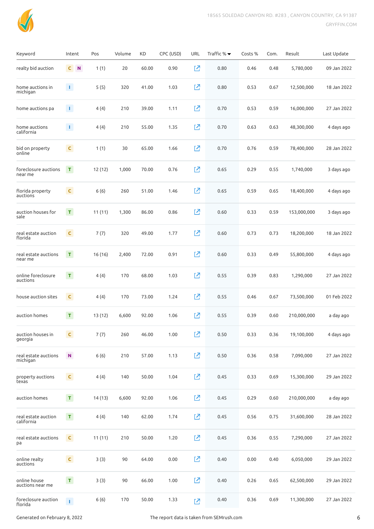

| Keyword                           | Intent                      | Pos     | Volume | KD    | CPC (USD) | <b>URL</b> | Traffic % ▼ | Costs % | Com. | Result      | Last Update |
|-----------------------------------|-----------------------------|---------|--------|-------|-----------|------------|-------------|---------|------|-------------|-------------|
| realty bid auction                | $\mathsf{C}$<br>$\mathbf N$ | 1(1)    | 20     | 60.00 | 0.90      | 忆          | 0.80        | 0.46    | 0.48 | 5,780,000   | 09 Jan 2022 |
| home auctions in<br>michigan      | $\mathbf{1}$                | 5(5)    | 320    | 41.00 | 1.03      | Ø          | 0.80        | 0.53    | 0.67 | 12,500,000  | 18 Jan 2022 |
| home auctions pa                  | $\mathbf{1}$                | 4(4)    | 210    | 39.00 | 1.11      | 囜          | 0.70        | 0.53    | 0.59 | 16,000,000  | 27 Jan 2022 |
| home auctions<br>california       | $\mathbf{1}$                | 4(4)    | 210    | 55.00 | 1.35      | 内          | 0.70        | 0.63    | 0.63 | 48,300,000  | 4 days ago  |
| bid on property<br>online         | $\mathsf{C}$                | 1(1)    | 30     | 65.00 | 1.66      | Ŋ          | 0.70        | 0.76    | 0.59 | 78,400,000  | 28 Jan 2022 |
| foreclosure auctions<br>near me   | $\mathbf T$                 | 12 (12) | 1,000  | 70.00 | 0.76      | Ŋ          | 0.65        | 0.29    | 0.55 | 1,740,000   | 3 days ago  |
| florida property<br>auctions      | $\mathsf{C}$                | 6(6)    | 260    | 51.00 | 1.46      | 内          | 0.65        | 0.59    | 0.65 | 18,400,000  | 4 days ago  |
| auction houses for<br>sale        | $\mathbf T$                 | 11(11)  | 1,300  | 86.00 | 0.86      | 内          | 0.60        | 0.33    | 0.59 | 153,000,000 | 3 days ago  |
| real estate auction<br>florida    | $\mathsf{C}$                | 7(7)    | 320    | 49.00 | 1.77      | 忆          | 0.60        | 0.73    | 0.73 | 18,200,000  | 18 Jan 2022 |
| real estate auctions<br>near me   | $\mathbf T$                 | 16 (16) | 2,400  | 72.00 | 0.91      | 囜          | 0.60        | 0.33    | 0.49 | 55,800,000  | 4 days ago  |
| online foreclosure<br>auctions    | $\mathbf T$                 | 4(4)    | 170    | 68.00 | 1.03      | 囜          | 0.55        | 0.39    | 0.83 | 1,290,000   | 27 Jan 2022 |
| house auction sites               | $\mathsf{C}$                | 4(4)    | 170    | 73.00 | 1.24      | 囜          | 0.55        | 0.46    | 0.67 | 73,500,000  | 01 Feb 2022 |
| auction homes                     | $\mathbf T$                 | 13 (12) | 6,600  | 92.00 | 1.06      | 囜          | 0.55        | 0.39    | 0.60 | 210,000,000 | a day ago   |
| auction houses in<br>georgia      | $\mathsf{C}$                | 7(7)    | 260    | 46.00 | 1.00      | [Z         | 0.50        | 0.33    | 0.36 | 19,100,000  | 4 days ago  |
| real estate auctions<br>michigan  | N.                          | 6(6)    | 210    | 57.00 | 1.13      | $\Sigma$   | 0.50        | 0.36    | 0.58 | 7,090,000   | 27 Jan 2022 |
| property auctions<br>texas        | $\mathsf{C}$                | 4(4)    | 140    | 50.00 | 1.04      | Ø          | 0.45        | 0.33    | 0.69 | 15,300,000  | 29 Jan 2022 |
| auction homes                     | $\mathbf{T}_\parallel$      | 14 (13) | 6,600  | 92.00 | 1.06      | [Z         | 0.45        | 0.29    | 0.60 | 210,000,000 | a day ago   |
| real estate auction<br>california | $\mathsf T$                 | 4(4)    | 140    | 62.00 | 1.74      | [Z         | 0.45        | 0.56    | 0.75 | 31,600,000  | 28 Jan 2022 |
| real estate auctions<br>pa        | $\mathsf{C}$                | 11(11)  | 210    | 50.00 | 1.20      | 囜          | 0.45        | 0.36    | 0.55 | 7,290,000   | 27 Jan 2022 |
| online realty<br>auctions         | $\mathsf{C}$                | 3(3)    | 90     | 64.00 | 0.00      | [Z         | 0.40        | 0.00    | 0.40 | 6,050,000   | 29 Jan 2022 |
| online house<br>auctions near me  | $\mathsf T$                 | 3(3)    | 90     | 66.00 | 1.00      | [Z         | 0.40        | 0.26    | 0.65 | 62,500,000  | 29 Jan 2022 |
| foreclosure auction<br>florida    | $\Gamma$                    | 6(6)    | 170    | 50.00 | 1.33      | 忆          | 0.40        | 0.36    | 0.69 | 11,300,000  | 27 Jan 2022 |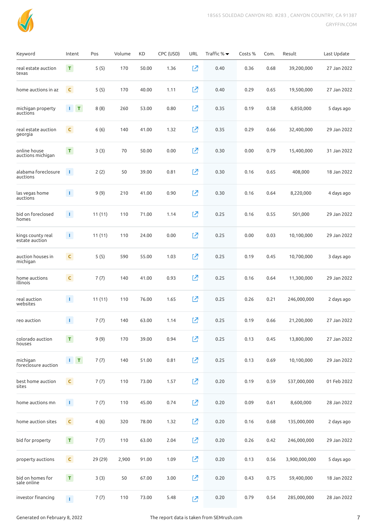

| Keyword                             | Intent                    | Pos     | Volume | KD    | CPC (USD) | <b>URL</b> | Traffic % $\blacktriangledown$ | Costs % | Com. | Result        | Last Update |
|-------------------------------------|---------------------------|---------|--------|-------|-----------|------------|--------------------------------|---------|------|---------------|-------------|
| real estate auction<br>texas        | $\mathbf{T}$              | 5(5)    | 170    | 50.00 | 1.36      | 忆          | 0.40                           | 0.36    | 0.68 | 39,200,000    | 27 Jan 2022 |
| home auctions in az                 | $\mathsf{C}$              | 5(5)    | 170    | 40.00 | 1.11      | 忆          | 0.40                           | 0.29    | 0.65 | 19,500,000    | 27 Jan 2022 |
| michigan property<br>auctions       | $\mathbf{I}$ $\mathbf{T}$ | 8(8)    | 260    | 53.00 | 0.80      | 忆          | 0.35                           | 0.19    | 0.58 | 6,850,000     | 5 days ago  |
| real estate auction<br>georgia      | $\mathsf{C}$              | 6(6)    | 140    | 41.00 | 1.32      | 忆          | 0.35                           | 0.29    | 0.66 | 32,400,000    | 29 Jan 2022 |
| online house<br>auctions michigan   | $\mathbf T$               | 3(3)    | 70     | 50.00 | 0.00      | Ø          | 0.30                           | 0.00    | 0.79 | 15,400,000    | 31 Jan 2022 |
| alabama foreclosure<br>auctions     | $\mathbf{L}$              | 2(2)    | 50     | 39.00 | 0.81      | 内          | 0.30                           | 0.16    | 0.65 | 408,000       | 18 Jan 2022 |
| las vegas home<br>auctions          | $\mathbf{1}$              | 9(9)    | 210    | 41.00 | 0.90      | 忆          | 0.30                           | 0.16    | 0.64 | 8,220,000     | 4 days ago  |
| bid on foreclosed<br>homes          | $\mathbf{L}$              | 11(11)  | 110    | 71.00 | 1.14      | 忆          | 0.25                           | 0.16    | 0.55 | 501,000       | 29 Jan 2022 |
| kings county real<br>estate auction | $\mathbf{1}$              | 11(11)  | 110    | 24.00 | 0.00      | 忆          | 0.25                           | 0.00    | 0.03 | 10,100,000    | 29 Jan 2022 |
| auction houses in<br>michigan       | $\mathsf C$               | 5(5)    | 590    | 55.00 | 1.03      | 忆          | 0.25                           | 0.19    | 0.45 | 10,700,000    | 3 days ago  |
| home auctions<br>illinois           | $\mathsf{C}$              | 7(7)    | 140    | 41.00 | 0.93      | 囜          | 0.25                           | 0.16    | 0.64 | 11,300,000    | 29 Jan 2022 |
| real auction<br>websites            | $\mathbf{1}$              | 11(11)  | 110    | 76.00 | 1.65      | 囜          | 0.25                           | 0.26    | 0.21 | 246,000,000   | 2 days ago  |
| reo auction                         | $\mathbf{1}$              | 7(7)    | 140    | 63.00 | 1.14      | 忆          | 0.25                           | 0.19    | 0.66 | 21,200,000    | 27 Jan 2022 |
| colorado auction<br>houses          | $\mathbf T$               | 9(9)    | 170    | 39.00 | 0.94      | 囜          | 0.25                           | 0.13    | 0.45 | 13,800,000    | 27 Jan 2022 |
| michigan<br>foreclosure auction     | $\mathbf{I}=\mathbf{T}$   | 7(7)    | 140    | 51.00 | 0.81      | 囜          | 0.25                           | 0.13    | 0.69 | 10,100,000    | 29 Jan 2022 |
| best home auction<br>sites          | $\mathsf{C}$              | 7(7)    | 110    | 73.00 | 1.57      | 囜          | 0.20                           | 0.19    | 0.59 | 537,000,000   | 01 Feb 2022 |
| home auctions mn                    | $\mathbf{1}$              | 7(7)    | 110    | 45.00 | 0.74      | $\Sigma$   | 0.20                           | 0.09    | 0.61 | 8,600,000     | 28 Jan 2022 |
| home auction sites                  | $\mathsf{C}$              | 4(6)    | 320    | 78.00 | 1.32      | 囜          | 0.20                           | 0.16    | 0.68 | 135,000,000   | 2 days ago  |
| bid for property                    | $\mathbf T$               | 7(7)    | 110    | 63.00 | 2.04      | 囜          | 0.20                           | 0.26    | 0.42 | 246,000,000   | 29 Jan 2022 |
| property auctions                   | $\mathsf{C}$              | 29 (29) | 2,900  | 91.00 | 1.09      | 囜          | 0.20                           | 0.13    | 0.56 | 3,900,000,000 | 5 days ago  |
| bid on homes for<br>sale online     | $\mathsf T$               | 3(3)    | 50     | 67.00 | 3.00      | 囜          | 0.20                           | 0.43    | 0.75 | 59,400,000    | 18 Jan 2022 |
| investor financing                  | $\mathbf{L}$              | 7(7)    | 110    | 73.00 | 5.48      | 内          | 0.20                           | 0.79    | 0.54 | 285,000,000   | 28 Jan 2022 |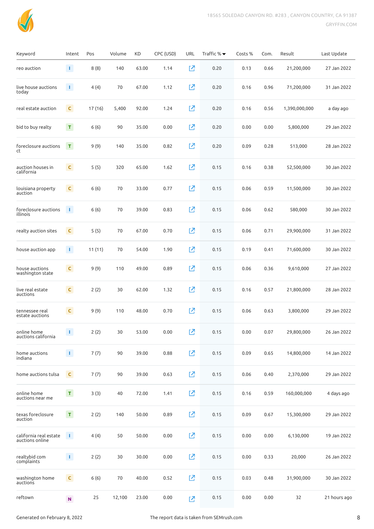

| Keyword                                   | Intent       | Pos     | Volume | KD    | CPC (USD) | <b>URL</b> | Traffic % ▼ | Costs % | Com. | Result        | Last Update  |
|-------------------------------------------|--------------|---------|--------|-------|-----------|------------|-------------|---------|------|---------------|--------------|
| reo auction                               | $\mathbf{1}$ | 8(8)    | 140    | 63.00 | 1.14      | 전          | 0.20        | 0.13    | 0.66 | 21,200,000    | 27 Jan 2022  |
| live house auctions<br>today              | $\mathbf{1}$ | 4(4)    | 70     | 67.00 | 1.12      | 忆          | 0.20        | 0.16    | 0.96 | 71,200,000    | 31 Jan 2022  |
| real estate auction                       | $\mathsf{C}$ | 17 (16) | 5,400  | 92.00 | 1.24      | 囜          | 0.20        | 0.16    | 0.56 | 1,390,000,000 | a day ago    |
| bid to buy realty                         | $\mathsf T$  | 6(6)    | 90     | 35.00 | 0.00      | 囜          | 0.20        | 0.00    | 0.00 | 5,800,000     | 29 Jan 2022  |
| foreclosure auctions<br>ct                | $\mathbf T$  | 9(9)    | 140    | 35.00 | 0.82      | 囜          | 0.20        | 0.09    | 0.28 | 513,000       | 28 Jan 2022  |
| auction houses in<br>california           | $\mathsf{C}$ | 5(5)    | 320    | 65.00 | 1.62      | 囜          | 0.15        | 0.16    | 0.38 | 52,500,000    | 30 Jan 2022  |
| louisiana property<br>auction             | $\mathsf{C}$ | 6(6)    | 70     | 33.00 | 0.77      | Ø          | 0.15        | 0.06    | 0.59 | 11,500,000    | 30 Jan 2022  |
| foreclosure auctions<br>illinois          | $\Gamma$     | 6(6)    | 70     | 39.00 | 0.83      | 진          | 0.15        | 0.06    | 0.62 | 580,000       | 30 Jan 2022  |
| realty auction sites                      | $\mathsf{C}$ | 5(5)    | 70     | 67.00 | 0.70      | 囜          | 0.15        | 0.06    | 0.71 | 29,900,000    | 31 Jan 2022  |
| house auction app                         | $\mathbf{1}$ | 11(11)  | 70     | 54.00 | 1.90      | 内          | 0.15        | 0.19    | 0.41 | 71,600,000    | 30 Jan 2022  |
| house auctions<br>washington state        | $\mathsf{C}$ | 9(9)    | 110    | 49.00 | 0.89      | 内          | 0.15        | 0.06    | 0.36 | 9,610,000     | 27 Jan 2022  |
| live real estate<br>auctions              | $\mathsf{C}$ | 2(2)    | 30     | 62.00 | 1.32      | 内          | 0.15        | 0.16    | 0.57 | 21,800,000    | 28 Jan 2022  |
| tennessee real<br>estate auctions         | $\mathsf{C}$ | 9(9)    | 110    | 48.00 | 0.70      | 囜          | 0.15        | 0.06    | 0.63 | 3,800,000     | 29 Jan 2022  |
| online home<br>auctions california        | $\mathbf{L}$ | 2(2)    | 30     | 53.00 | 0.00      | 囜          | 0.15        | 0.00    | 0.07 | 29,800,000    | 26 Jan 2022  |
| home auctions<br>indiana                  | $\mathbf{T}$ | 7(7)    | 90     | 39.00 | 0.88      | 内          | 0.15        | 0.09    | 0.65 | 14,800,000    | 14 Jan 2022  |
| home auctions tulsa                       | $\mathsf{C}$ | 7(7)    | 90     | 39.00 | 0.63      | 忆          | 0.15        | 0.06    | 0.40 | 2,370,000     | 29 Jan 2022  |
| online home<br>auctions near me           | $\mathsf T$  | 3(3)    | 40     | 72.00 | 1.41      | 囜          | 0.15        | 0.16    | 0.59 | 160,000,000   | 4 days ago   |
| texas foreclosure<br>auction              | $\mathbf T$  | 2(2)    | 140    | 50.00 | 0.89      | 囜          | 0.15        | 0.09    | 0.67 | 15,300,000    | 29 Jan 2022  |
| california real estate<br>auctions online | T.           | 4(4)    | 50     | 50.00 | 0.00      | Ø          | 0.15        | 0.00    | 0.00 | 6,130,000     | 19 Jan 2022  |
| realtybid com<br>complaints               | $\mathbf{T}$ | 2(2)    | 30     | 30.00 | 0.00      | 内          | 0.15        | 0.00    | 0.33 | 20,000        | 26 Jan 2022  |
| washington home<br>auctions               | $\mathsf C$  | 6(6)    | 70     | 40.00 | 0.52      | [Z         | 0.15        | 0.03    | 0.48 | 31,900,000    | 30 Jan 2022  |
| reftown                                   | $\mathbf N$  | 25      | 12,100 | 23.00 | 0.00      | 内          | 0.15        | 0.00    | 0.00 | 32            | 21 hours ago |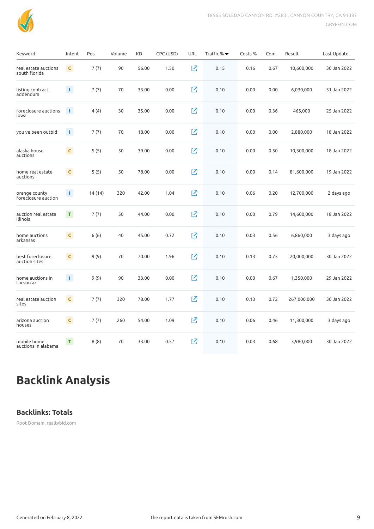

| Keyword                               | Intent       | Pos     | Volume | KD    | CPC (USD) | URL | Traffic % $\blacktriangledown$ | Costs % | Com. | Result      | Last Update |
|---------------------------------------|--------------|---------|--------|-------|-----------|-----|--------------------------------|---------|------|-------------|-------------|
| real estate auctions<br>south florida | $\mathsf{C}$ | 7(7)    | 90     | 56.00 | 1.50      | 忆   | 0.15                           | 0.16    | 0.67 | 10,600,000  | 30 Jan 2022 |
| listing contract<br>addendum          | $\mathbf{1}$ | 7(7)    | 70     | 33.00 | 0.00      | 内   | 0.10                           | 0.00    | 0.00 | 6,030,000   | 31 Jan 2022 |
| foreclosure auctions<br>iowa          | T.           | 4(4)    | 30     | 35.00 | 0.00      | 忆   | 0.10                           | 0.00    | 0.36 | 465,000     | 25 Jan 2022 |
| you ve been outbid                    | $\mathbf{L}$ | 7(7)    | 70     | 18.00 | 0.00      | Ø   | 0.10                           | 0.00    | 0.00 | 2,880,000   | 18 Jan 2022 |
| alaska house<br>auctions              | $\mathsf{C}$ | 5(5)    | 50     | 39.00 | 0.00      | 忆   | 0.10                           | 0.00    | 0.50 | 10,300,000  | 18 Jan 2022 |
| home real estate<br>auctions          | $\mathsf C$  | 5(5)    | 50     | 78.00 | 0.00      | 内   | 0.10                           | 0.00    | 0.14 | 81,600,000  | 19 Jan 2022 |
| orange county<br>foreclosure auction  | $\mathbf{L}$ | 14 (14) | 320    | 42.00 | 1.04      | Ø   | 0.10                           | 0.06    | 0.20 | 12,700,000  | 2 days ago  |
| auction real estate<br>illinois       | $\mathbf{T}$ | 7(7)    | 50     | 44.00 | 0.00      | 忆   | 0.10                           | 0.00    | 0.79 | 14,600,000  | 18 Jan 2022 |
| home auctions<br>arkansas             | $\mathsf{C}$ | 6(6)    | 40     | 45.00 | 0.72      | 忆   | 0.10                           | 0.03    | 0.56 | 6,860,000   | 3 days ago  |
| best foreclosure<br>auction sites     | $\mathsf{C}$ | 9(9)    | 70     | 70.00 | 1.96      | 内   | 0.10                           | 0.13    | 0.75 | 20,000,000  | 30 Jan 2022 |
| home auctions in<br>tucson az         | $\mathbf{L}$ | 9(9)    | 90     | 33.00 | 0.00      | 内   | 0.10                           | 0.00    | 0.67 | 1,350,000   | 29 Jan 2022 |
| real estate auction<br>sites          | $\mathsf{C}$ | 7(7)    | 320    | 78.00 | 1.77      | 内   | 0.10                           | 0.13    | 0.72 | 267,000,000 | 30 Jan 2022 |
| arizona auction<br>houses             | C            | 7(7)    | 260    | 54.00 | 1.09      | 内   | 0.10                           | 0.06    | 0.46 | 11,300,000  | 3 days ago  |
| mobile home<br>auctions in alabama    | $\mathsf T$  | 8(8)    | 70     | 33.00 | 0.57      | 环   | 0.10                           | 0.03    | 0.68 | 3,980,000   | 30 Jan 2022 |

## **Backlink Analysis**

#### **Backlinks: Totals**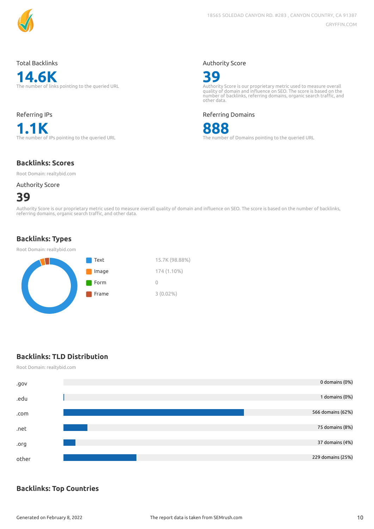

#### Total Backlinks

**14.6K** The number of links pointing to the queried URL

Referring IPs **1.1K**<br>The number of IPs pointing to the queried URL

#### Authority Score



Authority Score is our proprietary metric used to measure overall<br>quality of domain and influence on SEO. The score is based on the<br>number of backlinks, referring domains, organic search traffic, and other data.

Referring Domains



The number of Domains pointing to the queried URL

#### **Backlinks: Scores**

Root Domain: realtybid.com

#### Authority Score

## **39**

Authority Score is our proprietary metric used to measure overall quality of domain and influence on SEO. The score is based on the number of backlinks,<br>referring domains, organic search traffic, and other data.

### **Backlinks: Types**

#### Root Domain: realtybid.com



### **Backlinks: TLD Distribution**

Root Domain: realtybid.com



### **Backlinks: Top Countries**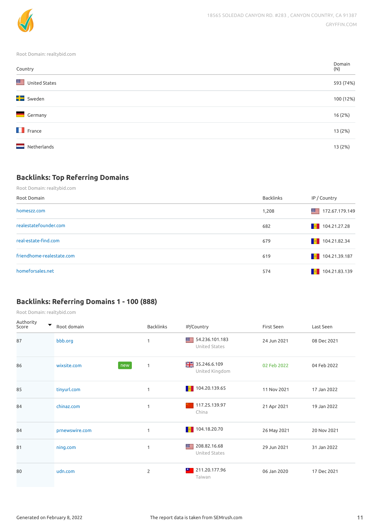

Root Domain: realtybid.com

| Country               | Domain<br>(N) |
|-----------------------|---------------|
| United States         | 593 (74%)     |
| <b>Ex</b> Sweden      | 100 (12%)     |
| Germany               | 16 (2%)       |
| $\blacksquare$ France | 13 (2%)       |
| =<br>Netherlands      | 13 (2%)       |

## **Backlinks: Top Referring Domains**

Root Domain: realtybid.com

| Root Domain               | Backlinks | IP / Country                                                                                                   |
|---------------------------|-----------|----------------------------------------------------------------------------------------------------------------|
| homeszz.com               | 1,208     | 172.67.179.149                                                                                                 |
| realestatefounder.com     | 682       | $\begin{array}{ c c c c c } \hline \multicolumn{1}{ c }{\text{104.21.27.28}} \hline \end{array}$               |
| real-estate-find.com      | 679       | $\begin{array}{ c c c c c } \hline \textbf{1} & 104.21.82.34 \hline \end{array}$                               |
| friendhome-realestate.com | 619       | 104.21.39.187                                                                                                  |
| homeforsales.net          | 574       | $\begin{array}{ c c c c c } \hline \hline \multicolumn{1}{ c }{\text{104}} & 104.21.83.139 \hline \end{array}$ |

## **Backlinks: Referring Domains 1 - 100 (888)**

| Authority<br>▼<br>Score | Root domain        | <b>Backlinks</b> | IP/Country                      | First Seen  | Last Seen   |
|-------------------------|--------------------|------------------|---------------------------------|-------------|-------------|
| 87                      | bbb.org            | 1                | 54.236.101.183<br>United States | 24 Jun 2021 | 08 Dec 2021 |
| 86                      | wixsite.com<br>new | $\mathbf{1}$     | 35.246.6.109<br>United Kingdom  | 02 Feb 2022 | 04 Feb 2022 |
| 85                      | tinyurl.com        | 1                | $\blacksquare$ 104.20.139.65    | 11 Nov 2021 | 17 Jan 2022 |
| 84                      | chinaz.com         | 1                | 117.25.139.97<br>China          | 21 Apr 2021 | 19 Jan 2022 |
| 84                      | prnewswire.com     | 1                | $\blacksquare$ 104.18.20.70     | 26 May 2021 | 20 Nov 2021 |
| 81                      | ning.com           | 1                | 208.82.16.68<br>United States   | 29 Jun 2021 | 31 Jan 2022 |
| 80                      | udn.com            | $\overline{2}$   | 211.20.177.96<br>×.<br>Taiwan   | 06 Jan 2020 | 17 Dec 2021 |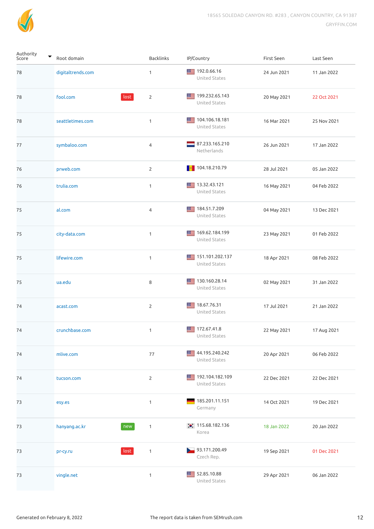

| Authority<br>▼<br>Score | Root domain          | Backlinks      | IP/Country                            | First Seen  | Last Seen   |
|-------------------------|----------------------|----------------|---------------------------------------|-------------|-------------|
| 78                      | digitaltrends.com    | $\mathbf{1}$   | ■ 192.0.66.16<br>United States        | 24 Jun 2021 | 11 Jan 2022 |
| 78                      | lost<br>fool.com     | $\overline{2}$ | 199.232.65.143<br>United States       | 20 May 2021 | 22 Oct 2021 |
| 78                      | seattletimes.com     | $\mathbf{1}$   | 104.106.18.181<br>United States       | 16 Mar 2021 | 25 Nov 2021 |
| 77                      | symbaloo.com         | $\overline{4}$ | 87.233.165.210<br>Netherlands         | 26 Jun 2021 | 17 Jan 2022 |
| 76                      | prweb.com            | $\overline{2}$ | $\blacksquare$ 104.18.210.79          | 28 Jul 2021 | 05 Jan 2022 |
| 76                      | trulia.com           | $\mathbf{1}$   | ■ 13.32.43.121<br>United States       | 16 May 2021 | 04 Feb 2022 |
| 75                      | al.com               | $\overline{4}$ | 184.51.7.209<br>United States         | 04 May 2021 | 13 Dec 2021 |
| 75                      | city-data.com        | $\mathbf{1}$   | 169.62.184.199<br>United States       | 23 May 2021 | 01 Feb 2022 |
| 75                      | lifewire.com         | $\mathbf{1}$   | ■■ 151.101.202.137<br>United States   | 18 Apr 2021 | 08 Feb 2022 |
| 75                      | ua.edu               | 8              | 130.160.28.14<br>United States        | 02 May 2021 | 31 Jan 2022 |
| 74                      | acast.com            | $\overline{2}$ | $\equiv$ 18.67.76.31<br>United States | 17 Jul 2021 | 21 Jan 2022 |
| 74                      | crunchbase.com       | $\mathbf{1}$   | $\equiv$ 172.67.41.8<br>United States | 22 May 2021 | 17 Aug 2021 |
| 74                      | mlive.com            | 77             | 44.195.240.242<br>United States       | 20 Apr 2021 | 06 Feb 2022 |
| 74                      | tucson.com           | $\overline{2}$ | ■■ 192.104.182.109<br>United States   | 22 Dec 2021 | 22 Dec 2021 |
| 73                      | esy.es               | $\mathbf{1}$   | 185.201.11.151<br>Germany             | 14 Oct 2021 | 19 Dec 2021 |
| 73                      | hanyang.ac.kr<br>new | $\mathbf{1}$   | $\bullet$ 115.68.182.136<br>Korea     | 18 Jan 2022 | 20 Jan 2022 |
| 73                      | lost<br>pr-cy.ru     | $\mathbf{1}$   | 93.171.200.49<br>Czech Rep.           | 19 Sep 2021 | 01 Dec 2021 |
| 73                      | vingle.net           | $\mathbf{1}$   | 52.85.10.88<br>United States          | 29 Apr 2021 | 06 Jan 2022 |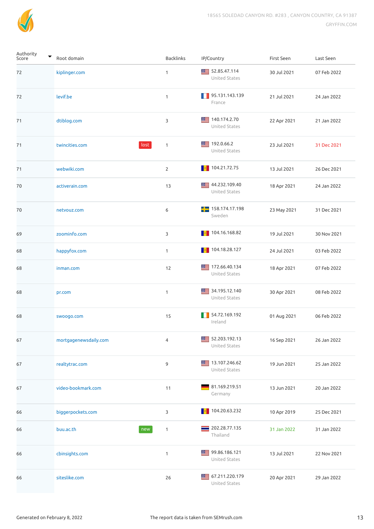

| Authority<br>▼<br>Score | Root domain            | <b>Backlinks</b> | IP/Country                        | First Seen  | Last Seen   |
|-------------------------|------------------------|------------------|-----------------------------------|-------------|-------------|
| 72                      | kiplinger.com          | 1                | 52.85.47.114<br>United States     | 30 Jul 2021 | 07 Feb 2022 |
| 72                      | levif.be               | $\mathbf{1}$     | 95.131.143.139<br>. .<br>France   | 21 Jul 2021 | 24 Jan 2022 |
| 71                      | dtiblog.com            | 3                | ■■ 140.174.2.70<br>United States  | 22 Apr 2021 | 21 Jan 2022 |
| 71                      | lost<br>twincities.com | $\mathbf{1}$     | 192.0.66.2<br>United States       | 23 Jul 2021 | 31 Dec 2021 |
| 71                      | webwiki.com            | $\mathbf{2}$     | $\blacksquare$ 104.21.72.75       | 13 Jul 2021 | 26 Dec 2021 |
| 70                      | activerain.com         | 13               | 44.232.109.40<br>United States    | 18 Apr 2021 | 24 Jan 2022 |
| 70                      | netvouz.com            | 6                | 158.174.17.198<br>Sweden          | 23 May 2021 | 31 Dec 2021 |
| 69                      | zoominfo.com           | 3                | 104.16.168.82<br><b>COLLEGE</b>   | 19 Jul 2021 | 30 Nov 2021 |
| 68                      | happyfox.com           | $\mathbf{1}$     | $\blacksquare$ 104.18.28.127      | 24 Jul 2021 | 03 Feb 2022 |
| 68                      | inman.com              | 12               | 172.66.40.134<br>United States    | 18 Apr 2021 | 07 Feb 2022 |
| 68                      | pr.com                 | $\mathbf{1}$     | 34.195.12.140<br>United States    | 30 Apr 2021 | 08 Feb 2022 |
| 68                      | swoogo.com             | 15               | 54.72.169.192<br>Ireland          | 01 Aug 2021 | 06 Feb 2022 |
| 67                      | mortgagenewsdaily.com  | 4                | 52.203.192.13<br>United States    | 16 Sep 2021 | 26 Jan 2022 |
| 67                      | realtytrac.com         | 9                | 13.107.246.62<br>United States    | 19 Jun 2021 | 25 Jan 2022 |
| 67                      | video-bookmark.com     | 11               | 81.169.219.51<br>Germany          | 13 Jun 2021 | 20 Jan 2022 |
| 66                      | biggerpockets.com      | 3                | 104.20.63.232                     | 10 Apr 2019 | 25 Dec 2021 |
| 66                      | buu.ac.th<br>new       | 1                | 202.28.77.135<br>Thailand         | 31 Jan 2022 | 31 Jan 2022 |
| 66                      | cbinsights.com         | $\mathbf{1}$     | ■■ 99.86.186.121<br>United States | 13 Jul 2021 | 22 Nov 2021 |
| 66                      | siteslike.com          | 26               | 67.211.220.179<br>United States   | 20 Apr 2021 | 29 Jan 2022 |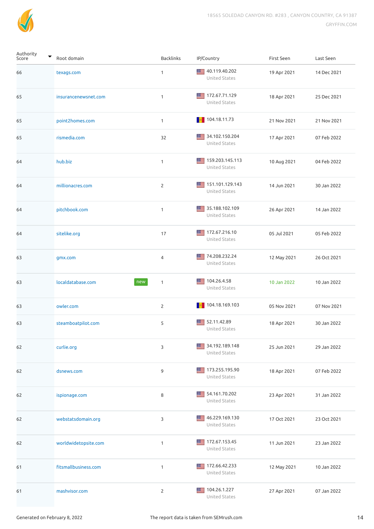

| Authority<br>▼<br>Score | Root domain              | Backlinks      | IP/Country                                                                                       | First Seen  | Last Seen   |
|-------------------------|--------------------------|----------------|--------------------------------------------------------------------------------------------------|-------------|-------------|
| 66                      | texags.com               | $\mathbf{1}$   | ■■ 40.119.40.202<br>United States                                                                | 19 Apr 2021 | 14 Dec 2021 |
| 65                      | insurancenewsnet.com     | $\mathbf{1}$   | ■■ 172.67.71.129<br>United States                                                                | 18 Apr 2021 | 25 Dec 2021 |
| 65                      | point2homes.com          | $\mathbf{1}$   | $\begin{array}{ c c c c c } \hline \multicolumn{1}{ c }{\text{104.18.11.73}} \hline \end{array}$ | 21 Nov 2021 | 21 Nov 2021 |
| 65                      | rismedia.com             | 32             | 34.102.150.204<br>United States                                                                  | 17 Apr 2021 | 07 Feb 2022 |
| 64                      | hub.biz                  | $\mathbf{1}$   | <b>₩E</b> 159.203.145.113<br>United States                                                       | 10 Aug 2021 | 04 Feb 2022 |
| 64                      | millionacres.com         | $\overline{2}$ | ■■ 151.101.129.143<br>United States                                                              | 14 Jun 2021 | 30 Jan 2022 |
| 64                      | pitchbook.com            | $\mathbf{1}$   | 35.188.102.109<br>United States                                                                  | 26 Apr 2021 | 14 Jan 2022 |
| 64                      | sitelike.org             | 17             | 172.67.216.10<br>United States                                                                   | 05 Jul 2021 | 05 Feb 2022 |
| 63                      | gmx.com                  | 4              | 74.208.232.24<br>United States                                                                   | 12 May 2021 | 26 Oct 2021 |
| 63                      | localdatabase.com<br>new | $\mathbf{1}$   | 104.26.4.58<br>United States                                                                     | 10 Jan 2022 | 10 Jan 2022 |
| 63                      | owler.com                | $\overline{2}$ | 104.18.169.103                                                                                   | 05 Nov 2021 | 07 Nov 2021 |
| 63                      | steamboatpilot.com       | 5              | 52.11.42.89<br>United States                                                                     | 18 Apr 2021 | 30 Jan 2022 |
| 62                      | curlie.org               | 3              | 34.192.189.148<br>United States                                                                  | 25 Jun 2021 | 29 Jan 2022 |
| 62                      | dsnews.com               | 9              | 173.255.195.90<br>United States                                                                  | 18 Apr 2021 | 07 Feb 2022 |
| 62                      | ispionage.com            | 8              | 54.161.70.202<br>United States                                                                   | 23 Apr 2021 | 31 Jan 2022 |
| 62                      | webstatsdomain.org       | 3              | ■■ 46.229.169.130<br>United States                                                               | 17 Oct 2021 | 23 Oct 2021 |
| 62                      | worldwidetopsite.com     | $\mathbf{1}$   | 172.67.153.45<br>United States                                                                   | 11 Jun 2021 | 23 Jan 2022 |
| 61                      | fitsmallbusiness.com     | $\mathbf{1}$   | ■■ 172.66.42.233<br>United States                                                                | 12 May 2021 | 10 Jan 2022 |
| 61                      | mashvisor.com            | $\overline{2}$ | 104.26.1.227<br>United States                                                                    | 27 Apr 2021 | 07 Jan 2022 |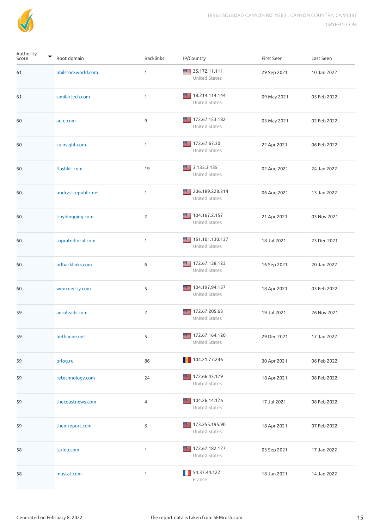

| Authority<br>Score | Root domain         | <b>Backlinks</b> | IP/Country                                                                                          | First Seen  | Last Seen   |
|--------------------|---------------------|------------------|-----------------------------------------------------------------------------------------------------|-------------|-------------|
| 61                 | philstockworld.com  | 1                | 35.172.11.111<br>United States                                                                      | 29 Sep 2021 | 10 Jan 2022 |
| 61                 | similartech.com     | 1                | ■■ 18.214.114.144<br>United States                                                                  | 09 May 2021 | 05 Feb 2022 |
| 60                 | au-e.com            | 9                | 172.67.153.182<br>≕<br>United States                                                                | 03 May 2021 | 02 Feb 2022 |
| 60                 | cuinsight.com       | 1                | 172.67.67.30<br>United States                                                                       | 22 Apr 2021 | 06 Feb 2022 |
| 60                 | flashkit.com        | 19               | 3.135.3.135<br>United States                                                                        | 02 Aug 2021 | 24 Jan 2022 |
| 60                 | podcastrepublic.net | 1                | ■ 206.189.228.214<br>United States                                                                  | 06 Aug 2021 | 13 Jan 2022 |
| 60                 | tinyblogging.com    | 2                | ■ 104.167.2.157<br>United States                                                                    | 21 Apr 2021 | 03 Nov 2021 |
| 60                 | topratedlocal.com   | $\mathbf{1}$     | ■■ 151.101.130.137<br>United States                                                                 | 18 Jul 2021 | 23 Dec 2021 |
| 60                 | urlbacklinks.com    | 6                | ■■ 172.67.138.123<br>United States                                                                  | 16 Sep 2021 | 20 Jan 2022 |
| 60                 | wenxuecity.com      | 5                | 104.197.94.157<br>United States                                                                     | 18 Apr 2021 | 03 Feb 2022 |
| 59                 | aeroleads.com       | $\overline{2}$   | ■■ 172.67.205.63<br>United States                                                                   | 19 Jul 2021 | 26 Nov 2021 |
| 59                 | bethanne.net        | 5                | 172.67.164.120<br>United States                                                                     | 29 Dec 2021 | 17 Jan 2022 |
| 59                 | prlog.ru            | 86               | $\begin{array}{ c c c c c } \hline \multicolumn{1}{ c }{\textbf{104.21.77.246}} \hline \end{array}$ | 30 Apr 2021 | 06 Feb 2022 |
| 59                 | retechnology.com    | 24               | 172.66.43.179<br>United States                                                                      | 18 Apr 2021 | 08 Feb 2022 |
| 59                 | thecoastnews.com    | 4                | ■■ 104.26.14.176<br>United States                                                                   | 17 Jul 2021 | 08 Feb 2022 |
| 59                 | themreport.com      | 6                | 173.255.195.90<br>United States                                                                     | 18 Apr 2021 | 07 Feb 2022 |
| 58                 | farleu.com          | $\mathbf{1}$     | 172.67.182.127<br>United States                                                                     | 03 Sep 2021 | 17 Jan 2022 |
| 58                 | mustat.com          | $\mathbf{1}$     | 54.37.44.122<br>France                                                                              | 18 Jun 2021 | 14 Jan 2022 |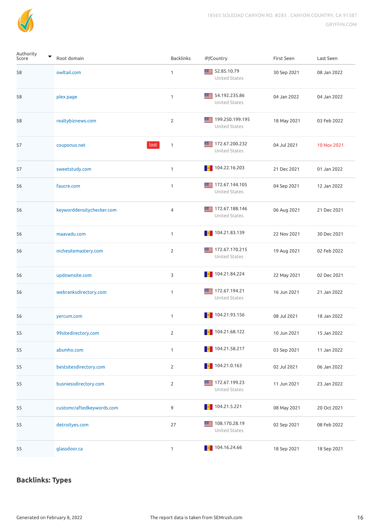

| Authority<br>▼<br>Score | Root domain               | Backlinks      | IP/Country                                                                                         | First Seen  | Last Seen   |
|-------------------------|---------------------------|----------------|----------------------------------------------------------------------------------------------------|-------------|-------------|
| 58                      | owltail.com               | 1              | 52.85.10.79<br>United States                                                                       | 30 Sep 2021 | 08 Jan 2022 |
| 58                      | plex.page                 | $\mathbf{1}$   | 54.192.235.86<br>United States                                                                     | 04 Jan 2022 | 04 Jan 2022 |
| 58                      | realtybiznews.com         | $\overline{2}$ | ■ 199.250.199.195<br>United States                                                                 | 18 May 2021 | 03 Feb 2022 |
| 57                      | lost<br>couponus.net      | $\mathbf{1}$   | ■ 172.67.200.232<br>United States                                                                  | 04 Jul 2021 | 10 Nov 2021 |
| 57                      | sweetstudy.com            | $\mathbf{1}$   | $\blacksquare$ 104.22.16.203                                                                       | 21 Dec 2021 | 01 Jan 2022 |
| 56                      | faucre.com                | 1              | 172.67.144.105<br>United States                                                                    | 04 Sep 2021 | 12 Jan 2022 |
| 56                      | keyworddensitychecker.com | $\overline{4}$ | 172.67.188.146<br>United States                                                                    | 06 Aug 2021 | 21 Dec 2021 |
| 56                      | maavadu.com               | $\mathbf{1}$   | $\blacksquare$ 104.21.83.139                                                                       | 22 Nov 2021 | 30 Dec 2021 |
| 56                      | nichesitemastery.com      | $\overline{2}$ | 172.67.170.215<br>United States                                                                    | 19 Aug 2021 | 02 Feb 2022 |
| 56                      | updownsite.com            | 3              | $\blacksquare$ 104.21.84.224                                                                       | 22 May 2021 | 02 Dec 2021 |
| 56                      | webranksdirectory.com     | $\mathbf{1}$   | 172.67.194.21<br>United States                                                                     | 16 Jun 2021 | 21 Jan 2022 |
| 56                      | yercum.com                | $\mathbf{1}$   | 104.21.93.156                                                                                      | 08 Jul 2021 | 18 Jan 2022 |
| 55                      | 99sitedirectory.com       | 2              |                                                                                                    | 10 Jun 2021 | 15 Jan 2022 |
| 55                      | absmho.com                | $\mathbf{1}$   | $\blacksquare$ 104.21.58.217                                                                       | 03 Sep 2021 | 11 Jan 2022 |
| 55                      | bestsitesdirectory.com    | $\overline{2}$ |                                                                                                    | 02 Jul 2021 | 06 Jan 2022 |
| 55                      | busniessdirectory.com     | $\overline{2}$ | ■ 172.67.199.23<br>United States                                                                   | 11 Jun 2021 | 23 Jan 2022 |
| 55                      | customcraftedkeywords.com | 9              | $\blacksquare$ 104.21.5.221                                                                        | 08 May 2021 | 20 Oct 2021 |
| 55                      | detroityes.com            | 27             | ■ 108.170.28.19<br>United States                                                                   | 02 Sep 2021 | 08 Feb 2022 |
| 55                      | glassdoor.ca              | $\mathbf{1}$   | $\begin{array}{ c c c c c } \hline \multicolumn{1}{ c }{\textbf{104.16.24.66}} \hline \end{array}$ | 18 Sep 2021 | 18 Sep 2021 |

## **Backlinks: Types**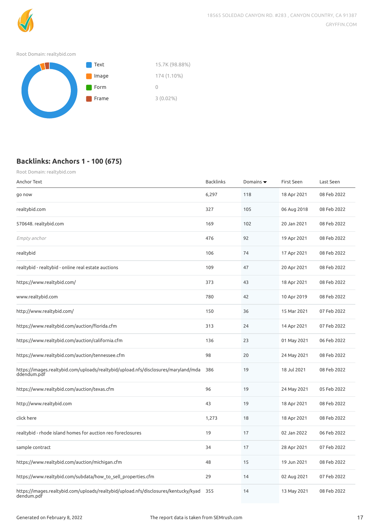

#### Root Domain: realtybid.com



## **Backlinks: Anchors 1 - 100 (675)**

| Root Domain: realtybid.com                                                                        |                  |                              |             |             |
|---------------------------------------------------------------------------------------------------|------------------|------------------------------|-------------|-------------|
| Anchor Text                                                                                       | <b>Backlinks</b> | Domains $\blacktriangledown$ | First Seen  | Last Seen   |
| go now                                                                                            | 6,297            | 118                          | 18 Apr 2021 | 08 Feb 2022 |
| realtybid.com                                                                                     | 327              | 105                          | 06 Aug 2018 | 08 Feb 2022 |
| 570648. realtybid.com                                                                             | 169              | 102                          | 20 Jan 2021 | 08 Feb 2022 |
| Empty anchor                                                                                      | 476              | 92                           | 19 Apr 2021 | 08 Feb 2022 |
| realtybid                                                                                         | 106              | 74                           | 17 Apr 2021 | 08 Feb 2022 |
| realtybid - realtybid - online real estate auctions                                               | 109              | 47                           | 20 Apr 2021 | 08 Feb 2022 |
| https://www.realtybid.com/                                                                        | 373              | 43                           | 18 Apr 2021 | 08 Feb 2022 |
| www.realtybid.com                                                                                 | 780              | 42                           | 10 Apr 2019 | 08 Feb 2022 |
| http://www.realtybid.com/                                                                         | 150              | 36                           | 15 Mar 2021 | 07 Feb 2022 |
| https://www.realtybid.com/auction/florida.cfm                                                     | 313              | 24                           | 14 Apr 2021 | 07 Feb 2022 |
| https://www.realtybid.com/auction/california.cfm                                                  | 136              | 23                           | 01 May 2021 | 06 Feb 2022 |
| https://www.realtybid.com/auction/tennessee.cfm                                                   | 98               | 20                           | 24 May 2021 | 08 Feb 2022 |
| https://images.realtybid.com/uploads/realtybid/upload.nfs/disclosures/maryland/mda<br>ddendum.pdf | 386              | 19                           | 18 Jul 2021 | 08 Feb 2022 |
| https://www.realtybid.com/auction/texas.cfm                                                       | 96               | 19                           | 24 May 2021 | 05 Feb 2022 |
| http://www.realtybid.com                                                                          | 43               | 19                           | 18 Apr 2021 | 08 Feb 2022 |
| click here                                                                                        | 1,273            | 18                           | 18 Apr 2021 | 08 Feb 2022 |
| realtybid - rhode island homes for auction reo foreclosures                                       | 19               | 17                           | 02 Jan 2022 | 06 Feb 2022 |
| sample contract                                                                                   | 34               | 17                           | 28 Apr 2021 | 07 Feb 2022 |
| https://www.realtybid.com/auction/michigan.cfm                                                    | 48               | 15                           | 19 Jun 2021 | 08 Feb 2022 |
| https://www.realtybid.com/subdata/how_to_sell_properties.cfm                                      | 29               | 14                           | 02 Aug 2021 | 07 Feb 2022 |
| https://images.realtybid.com/uploads/realtybid/upload.nfs/disclosures/kentucky/kyad<br>dendum.pdf | 355              | 14                           | 13 May 2021 | 08 Feb 2022 |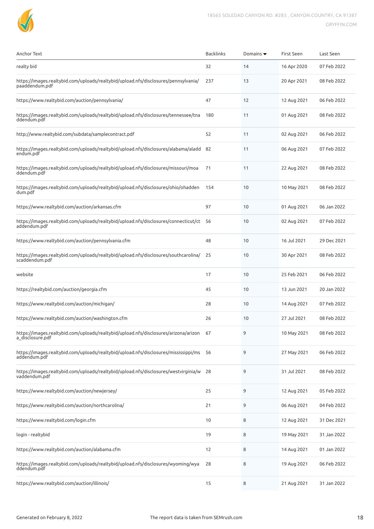

| Anchor Text                                                                                              | <b>Backlinks</b> | Domains $\blacktriangledown$ | First Seen  | Last Seen   |
|----------------------------------------------------------------------------------------------------------|------------------|------------------------------|-------------|-------------|
| realty bid                                                                                               | 32               | 14                           | 16 Apr 2020 | 07 Feb 2022 |
| https://images.realtybid.com/uploads/realtybid/upload.nfs/disclosures/pennsylvania/<br>paaddendum.pdf    | 237              | 13                           | 20 Apr 2021 | 08 Feb 2022 |
| https://www.realtybid.com/auction/pennsylvania/                                                          | 47               | 12                           | 12 Aug 2021 | 06 Feb 2022 |
| https://images.realtybid.com/uploads/realtybid/upload.nfs/disclosures/tennessee/tna<br>ddendum.pdf       | 180              | 11                           | 01 Aug 2021 | 08 Feb 2022 |
| http://www.realtybid.com/subdata/samplecontract.pdf                                                      | 52               | 11                           | 02 Aug 2021 | 06 Feb 2022 |
| https://images.realtybid.com/uploads/realtybid/upload.nfs/disclosures/alabama/aladd<br>endum.pdf         | 82               | 11                           | 06 Aug 2021 | 07 Feb 2022 |
| https://images.realtybid.com/uploads/realtybid/upload.nfs/disclosures/missouri/moa<br>ddendum.pdf        | 71               | 11                           | 22 Aug 2021 | 08 Feb 2022 |
| https://images.realtybid.com/uploads/realtybid/upload.nfs/disclosures/ohio/ohadden<br>dum.pdf            | 154              | 10                           | 10 May 2021 | 08 Feb 2022 |
| https://www.realtybid.com/auction/arkansas.cfm                                                           | 97               | 10                           | 01 Aug 2021 | 06 Jan 2022 |
| https://images.realtybid.com/uploads/realtybid/upload.nfs/disclosures/connecticut/ct 56<br>addendum.pdf  |                  | 10                           | 02 Aug 2021 | 07 Feb 2022 |
| https://www.realtybid.com/auction/pennsylvania.cfm                                                       | 48               | 10                           | 16 Jul 2021 | 29 Dec 2021 |
| https://images.realtybid.com/uploads/realtybid/upload.nfs/disclosures/southcarolina/<br>scaddendum.pdf   | 25               | 10                           | 30 Apr 2021 | 08 Feb 2022 |
| website                                                                                                  | 17               | 10                           | 25 Feb 2021 | 06 Feb 2022 |
| https://realtybid.com/auction/georgia.cfm                                                                | 45               | 10                           | 13 Jun 2021 | 20 Jan 2022 |
| https://www.realtybid.com/auction/michigan/                                                              | 28               | 10                           | 14 Aug 2021 | 07 Feb 2022 |
| https://www.realtybid.com/auction/washington.cfm                                                         | 26               | 10                           | 27 Jul 2021 | 08 Feb 2022 |
| https://images.realtybid.com/uploads/realtybid/upload.nfs/disclosures/arizona/arizon<br>a_disclosure.pdf | 67               | 9                            | 10 May 2021 | 08 Feb 2022 |
| https://images.realtybid.com/uploads/realtybid/upload.nfs/disclosures/mississippi/ms 56<br>addendum.pdf  |                  | 9                            | 27 May 2021 | 06 Feb 2022 |
| https://images.realtybid.com/uploads/realtybid/upload.nfs/disclosures/westvirginia/w 28<br>vaddendum.pdf |                  | 9                            | 31 Jul 2021 | 08 Feb 2022 |
| https://www.realtybid.com/auction/newjersey/                                                             | 25               | 9                            | 12 Aug 2021 | 05 Feb 2022 |
| https://www.realtybid.com/auction/northcarolina/                                                         | 21               | 9                            | 06 Aug 2021 | 04 Feb 2022 |
| https://www.realtybid.com/login.cfm                                                                      | 10               | 8                            | 12 Aug 2021 | 31 Dec 2021 |
| login - realtybid                                                                                        | 19               | 8                            | 19 May 2021 | 31 Jan 2022 |
| https://www.realtybid.com/auction/alabama.cfm                                                            | 12               | 8                            | 14 Aug 2021 | 01 Jan 2022 |
| https://images.realtybid.com/uploads/realtybid/upload.nfs/disclosures/wyoming/wya<br>ddendum.pdf         | 28               | 8                            | 19 Aug 2021 | 06 Feb 2022 |
| https://www.realtybid.com/auction/illinois/                                                              | 15               | 8                            | 21 Aug 2021 | 31 Jan 2022 |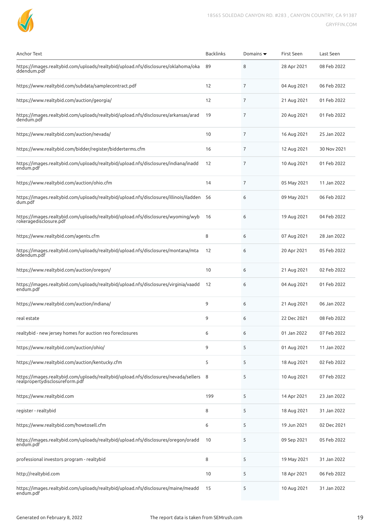

| Anchor Text                                                                                                              | <b>Backlinks</b> | Domains $\blacktriangledown$ | First Seen  | Last Seen   |
|--------------------------------------------------------------------------------------------------------------------------|------------------|------------------------------|-------------|-------------|
| https://images.realtybid.com/uploads/realtybid/upload.nfs/disclosures/oklahoma/oka<br>ddendum.pdf                        | 89               | 8                            | 28 Apr 2021 | 08 Feb 2022 |
| https://www.realtybid.com/subdata/samplecontract.pdf                                                                     | 12               | 7                            | 04 Aug 2021 | 06 Feb 2022 |
| https://www.realtybid.com/auction/georgia/                                                                               | 12               | 7                            | 21 Aug 2021 | 01 Feb 2022 |
| https://images.realtybid.com/uploads/realtybid/upload.nfs/disclosures/arkansas/arad<br>dendum.pdf                        | 19               | 7                            | 20 Aug 2021 | 01 Feb 2022 |
| https://www.realtybid.com/auction/nevada/                                                                                | 10               | 7                            | 16 Aug 2021 | 25 Jan 2022 |
| https://www.realtybid.com/bidder/register/bidderterms.cfm                                                                | 16               | 7                            | 12 Aug 2021 | 30 Nov 2021 |
| https://images.realtybid.com/uploads/realtybid/upload.nfs/disclosures/indiana/inadd<br>endum.pdf                         | 12               | 7                            | 10 Aug 2021 | 01 Feb 2022 |
| https://www.realtybid.com/auction/ohio.cfm                                                                               | 14               | 7                            | 05 May 2021 | 11 Jan 2022 |
| https://images.realtybid.com/uploads/realtybid/upload.nfs/disclosures/illinois/iladden<br>dum.pdf                        | -56              | 6                            | 09 May 2021 | 06 Feb 2022 |
| https://images.realtybid.com/uploads/realtybid/upload.nfs/disclosures/wyoming/wyb<br>rokeragedisclosure.pdf              | 16               | 6                            | 19 Aug 2021 | 04 Feb 2022 |
| https://www.realtybid.com/agents.cfm                                                                                     | 8                | 6                            | 07 Aug 2021 | 28 Jan 2022 |
| https://images.realtybid.com/uploads/realtybid/upload.nfs/disclosures/montana/mta<br>ddendum.pdf                         | 12               | 6                            | 20 Apr 2021 | 05 Feb 2022 |
| https://www.realtybid.com/auction/oregon/                                                                                | 10               | 6                            | 21 Aug 2021 | 02 Feb 2022 |
| https://images.realtybid.com/uploads/realtybid/upload.nfs/disclosures/virginia/vaadd<br>endum.pdf                        | 12               | 6                            | 04 Aug 2021 | 01 Feb 2022 |
| https://www.realtybid.com/auction/indiana/                                                                               | 9                | 6                            | 21 Aug 2021 | 06 Jan 2022 |
| real estate                                                                                                              | 9                | 6                            | 22 Dec 2021 | 08 Feb 2022 |
| realtybid - new jersey homes for auction reo foreclosures                                                                | 6                | 6                            | 01 Jan 2022 | 07 Feb 2022 |
| https://www.realtybid.com/auction/ohio/                                                                                  | 9                | 5                            | 01 Aug 2021 | 11 Jan 2022 |
| https://www.realtybid.com/auction/kentucky.cfm                                                                           | 5                | 5                            | 18 Aug 2021 | 02 Feb 2022 |
| https://images.realtybid.com/uploads/realtybid/upload.nfs/disclosures/nevada/sellers 8<br>realpropertydisclosureform.pdf |                  | 5                            | 10 Aug 2021 | 07 Feb 2022 |
| https://www.realtybid.com                                                                                                | 199              | 5                            | 14 Apr 2021 | 23 Jan 2022 |
| register - realtybid                                                                                                     | 8                | 5                            | 18 Aug 2021 | 31 Jan 2022 |
| https://www.realtybid.com/howtosell.cfm                                                                                  | 6                | 5                            | 19 Jun 2021 | 02 Dec 2021 |
| https://images.realtybid.com/uploads/realtybid/upload.nfs/disclosures/oregon/oradd<br>endum.pdf                          | 10               | 5                            | 09 Sep 2021 | 05 Feb 2022 |
| professional investors program - realtybid                                                                               | 8                | 5                            | 19 May 2021 | 31 Jan 2022 |
| http://realtybid.com                                                                                                     | 10               | 5                            | 18 Apr 2021 | 06 Feb 2022 |
| https://images.realtybid.com/uploads/realtybid/upload.nfs/disclosures/maine/meadd<br>endum.pdf                           | 15               | 5                            | 10 Aug 2021 | 31 Jan 2022 |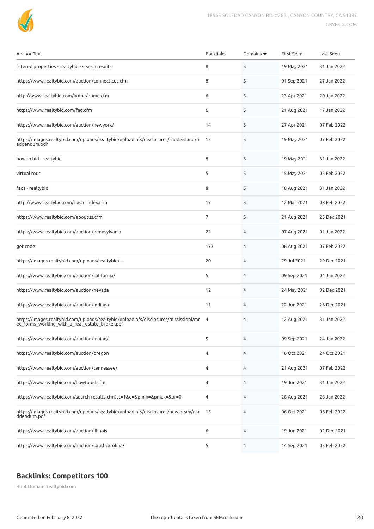

| <b>Anchor Text</b>                                                                                                                     | <b>Backlinks</b> | Domains $\blacktriangledown$ | First Seen  | Last Seen   |
|----------------------------------------------------------------------------------------------------------------------------------------|------------------|------------------------------|-------------|-------------|
| filtered properties - realtybid - search results                                                                                       | 8                | 5                            | 19 May 2021 | 31 Jan 2022 |
| https://www.realtybid.com/auction/connecticut.cfm                                                                                      | 8                | 5                            | 01 Sep 2021 | 27 Jan 2022 |
| http://www.realtybid.com/home/home.cfm                                                                                                 | 6                | 5                            | 23 Apr 2021 | 20 Jan 2022 |
| https://www.realtybid.com/faq.cfm                                                                                                      | 6                | 5                            | 21 Aug 2021 | 17 Jan 2022 |
| https://www.realtybid.com/auction/newyork/                                                                                             | 14               | 5                            | 27 Apr 2021 | 07 Feb 2022 |
| https://images.realtybid.com/uploads/realtybid/upload.nfs/disclosures/rhodeisland/ri<br>addendum.pdf                                   | 15               | 5                            | 19 May 2021 | 07 Feb 2022 |
| how to bid - realtybid                                                                                                                 | 8                | 5                            | 19 May 2021 | 31 Jan 2022 |
| virtual tour                                                                                                                           | 5                | 5                            | 15 May 2021 | 03 Feb 2022 |
| fags - realtybid                                                                                                                       | 8                | 5                            | 18 Aug 2021 | 31 Jan 2022 |
| http://www.realtybid.com/flash_index.cfm                                                                                               | 17               | 5                            | 12 Mar 2021 | 08 Feb 2022 |
| https://www.realtybid.com/aboutus.cfm                                                                                                  | 7                | 5                            | 21 Aug 2021 | 25 Dec 2021 |
| https://www.realtybid.com/auction/pennsylvania                                                                                         | 22               | 4                            | 07 Aug 2021 | 01 Jan 2022 |
| get code                                                                                                                               | 177              | 4                            | 06 Aug 2021 | 07 Feb 2022 |
| https://images.realtybid.com/uploads/realtybid/                                                                                        | 20               | 4                            | 29 Jul 2021 | 29 Dec 2021 |
| https://www.realtybid.com/auction/california/                                                                                          | 5                | 4                            | 09 Sep 2021 | 04 Jan 2022 |
| https://www.realtybid.com/auction/nevada                                                                                               | 12               | 4                            | 24 May 2021 | 02 Dec 2021 |
| https://www.realtybid.com/auction/indiana                                                                                              | 11               | 4                            | 22 Jun 2021 | 26 Dec 2021 |
| https://images.realtybid.com/uploads/realtybid/upload.nfs/disclosures/mississippi/mr<br>ec_forms_working_with_a_real_estate_broker.pdf | $\overline{4}$   | 4                            | 12 Aug 2021 | 31 Jan 2022 |
| https://www.realtybid.com/auction/maine/                                                                                               | 5                | 4                            | 09 Sep 2021 | 24 Jan 2022 |
| https://www.realtybid.com/auction/oregon                                                                                               | 4                | 4                            | 16 Oct 2021 | 24 Oct 2021 |
| https://www.realtybid.com/auction/tennessee/                                                                                           | 4                | 4                            | 21 Aug 2021 | 07 Feb 2022 |
| https://www.realtybid.com/howtobid.cfm                                                                                                 | 4                | 4                            | 19 Jun 2021 | 31 Jan 2022 |
| https://www.realtybid.com/search-results.cfm?st=1&q=&pmin=&pmax=&br=0                                                                  | 4                | 4                            | 28 Aug 2021 | 28 Jan 2022 |
| https://images.realtybid.com/uploads/realtybid/upload.nfs/disclosures/newjersey/nja<br>ddendum.pdf                                     | 15               | 4                            | 06 Oct 2021 | 06 Feb 2022 |
| https://www.realtybid.com/auction/illinois                                                                                             | 6                | 4                            | 19 Jun 2021 | 02 Dec 2021 |
| https://www.realtybid.com/auction/southcarolina/                                                                                       | 5                | 4                            | 14 Sep 2021 | 05 Feb 2022 |

## **Backlinks: Competitors 100**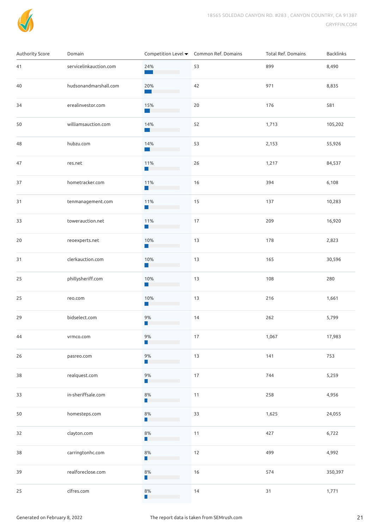

| Authority Score | Domain                 |                                          | Competition Level ▼ Common Ref. Domains | Total Ref. Domains | Backlinks |
|-----------------|------------------------|------------------------------------------|-----------------------------------------|--------------------|-----------|
| 41              | servicelinkauction.com | 24%<br>$\sim 10^6$                       | 53                                      | 899                | 8,490     |
| 40              | hudsonandmarshall.com  | 20%<br><b>Contract Contract Contract</b> | 42                                      | 971                | 8,835     |
| 34              | erealinvestor.com      | 15%<br>a a T                             | 20                                      | 176                | 581       |
| 50              | williamsauction.com    | 14%<br><b>College</b>                    | 52                                      | 1,713              | 105,202   |
| 48              | hubzu.com              | 14%<br><b>College</b>                    | 53                                      | 2,153              | 55,926    |
| 47              | res.net                | 11%<br>n l                               | 26                                      | 1,217              | 84,537    |
| 37              | hometracker.com        | 11%<br><b>COL</b>                        | 16                                      | 394                | 6,108     |
| 31              | tenmanagement.com      | 11%<br><b>Tale</b>                       | 15                                      | 137                | 10,283    |
| 33              | towerauction.net       | 11%<br><b>Tale</b>                       | 17                                      | 209                | 16,920    |
| 20              | reoexperts.net         | 10%<br>l a                               | 13                                      | 178                | 2,823     |
| 31              | clerkauction.com       | 10%<br>ш                                 | 13                                      | 165                | 30,596    |
| 25              | phillysheriff.com      | 10%<br>ш                                 | 13                                      | 108                | 280       |
| 25              | reo.com                | 10%<br>H.                                | 13                                      | 216                | 1,661     |
| 29              | bidselect.com          | 9%<br>ш                                  | 14                                      | 262                | 5,799     |
| 44              | vrmco.com              | 9%<br>П                                  | $17$                                    | 1,067              | 17,983    |
| 26              | pasreo.com             | 9%<br>ш                                  | 13                                      | 141                | 753       |
| 38              | realquest.com          | $9%$<br>П                                | $17\,$                                  | 744                | 5,259     |
| 33              | in-sheriffsale.com     | 8%<br>п                                  | 11                                      | 258                | 4,956     |
| 50              | homesteps.com          | $8\%$<br>п                               | 33                                      | 1,625              | 24,055    |
| 32              | clayton.com            | $8\%$<br>п                               | 11                                      | 427                | 6,722     |
| 38              | carringtonhc.com       | 8%<br>п                                  | 12                                      | 499                | 4,992     |
| 39              | realforeclose.com      | 8%<br>п                                  | 16                                      | 574                | 350,397   |
| 25              | clfres.com             | 8%<br>П                                  | 14                                      | 31                 | 1,771     |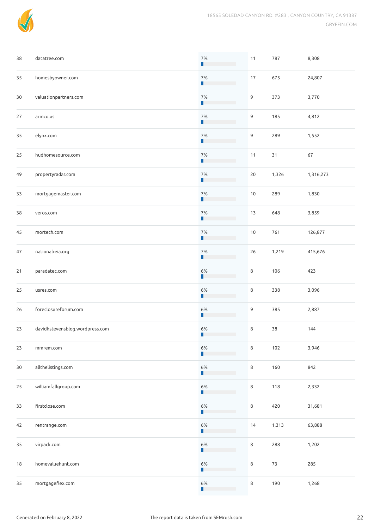

| 38 | datatree.com                    | $7%$                                         | 11      | 787    | 8,308     |
|----|---------------------------------|----------------------------------------------|---------|--------|-----------|
| 35 | homesbyowner.com                | 7%<br>П                                      | $17\,$  | 675    | 24,807    |
| 30 | valuationpartners.com           | $7%$<br>ш                                    | 9       | 373    | 3,770     |
| 27 | armco.us                        | 7%<br>П                                      | 9       | 185    | 4,812     |
| 35 | elynx.com                       | 7%<br>Ш                                      | 9       | 289    | 1,552     |
| 25 | hudhomesource.com               | 7%<br>П                                      | 11      | 31     | 67        |
| 49 | propertyradar.com               | $7%$<br>П                                    | 20      | 1,326  | 1,316,273 |
| 33 | mortgagemaster.com              | $7%$<br>П                                    | $10$    | 289    | 1,830     |
| 38 | veros.com                       | 7%<br>П                                      | 13      | 648    | 3,859     |
| 45 | mortech.com                     | $7%$<br>П                                    | $10$    | 761    | 126,877   |
| 47 | nationalreia.org                | $7%$<br>П                                    | 26      | 1,219  | 415,676   |
| 21 | paradatec.com                   | 6%<br>П                                      | 8       | 106    | 423       |
| 25 | usres.com                       | 6%<br>П                                      | 8       | 338    | 3,096     |
| 26 | foreclosureforum.com            | 6%<br>٦                                      | 9       | 385    | 2,887     |
| 23 | davidhstevensblog.wordpress.com | 6%<br>П                                      | 8       | 38     | 144       |
| 23 | mmrem.com                       | $6\%$<br>ш                                   | 8       | 102    | 3,946     |
| 30 | allthelistings.com              | 6%<br>Ш                                      | 8       | 160    | 842       |
| 25 | williamfallgroup.com            | 6%<br>Ш                                      | 8       | 118    | 2,332     |
| 33 | firstclose.com                  | $6\%$<br>Ш                                   | 8       | 420    | 31,681    |
| 42 | rentrange.com                   | 6%<br>Ш                                      | 14      | 1,313  | 63,888    |
| 35 | virpack.com                     | 6%<br>П                                      | 8       | 288    | 1,202     |
| 18 | homevaluehunt.com               | 6%<br>Ш                                      | $\,8\,$ | $73\,$ | 285       |
| 35 | mortgageflex.com                | 6%<br>Ш<br><b>Contract Contract Contract</b> | 8       | 190    | 1,268     |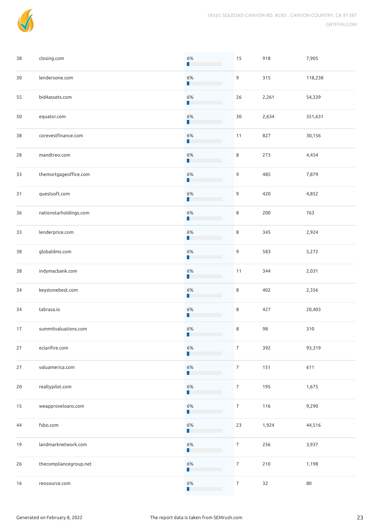

| 38 | closing.com            | $6\%$<br>ш | 15               | 918   | 7,905   |
|----|------------------------|------------|------------------|-------|---------|
| 30 | lendersone.com         | 6%<br>П    | 9                | 315   | 118,238 |
| 55 | bid4assets.com         | 6%<br>ш    | 26               | 2,261 | 54,339  |
| 50 | equator.com            | 6%<br>П    | 30               | 2,634 | 351,631 |
| 38 | corevestfinance.com    | 6%<br>ш    | 11               | 827   | 30,156  |
| 28 | mandtreo.com           | 6%         | 8                | 273   | 4,454   |
| 33 | themortgageoffice.com  | $6\%$      | 9                | 485   | 7,879   |
| 31 | questsoft.com          | $6\%$<br>Ш | 9                | 420   | 4,852   |
| 36 | nationstarholdings.com | 6%<br>п    | 8                | 200   | 763     |
| 33 | lenderprice.com        | 6%<br>п    | 8                | 345   | 2,924   |
| 38 | globaldms.com          | 6%<br>П    | 9                | 583   | 5,272   |
| 38 | indymacbank.com        | 6%<br>П    | 11               | 344   | 2,031   |
| 34 | keystonebest.com       | 6%<br>п    | 8                | 402   | 2,356   |
| 34 | tabrasa.io             | 6%<br>Ш    | 8                | 427   | 20,403  |
| 17 | summitvaluations.com   | 6%<br>Ш    | 8                | 98    | 310     |
| 27 | eclarifire.com         | $6\%$      | $\overline{7}$   | 392   | 93,319  |
| 27 | valuamerica.com        | 6%<br>Ш    | $\overline{7}$   | 151   | 611     |
| 20 | realtypilot.com        | $6\%$<br>ш | $\overline{7}$   | 195   | 1,675   |
| 15 | weapproveloans.com     | 6%<br>Ш    | $\overline{7}$   | 116   | 9,290   |
| 44 | fsbo.com               | 6%<br>Ш    | 23               | 1,924 | 44,516  |
| 19 | landmarknetwork.com    | 6%<br>п    | $\boldsymbol{7}$ | 256   | 3,937   |
| 26 | thecompliancegroup.net | $6\%$      | $\boldsymbol{7}$ | 210   | 1,198   |
| 16 | reosource.com          | $6\%$<br>Ш | $\overline{7}$   | 32    | 80      |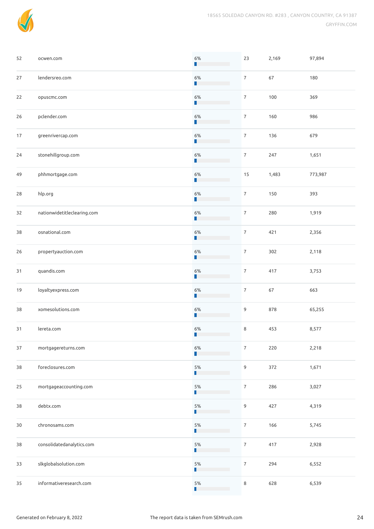

| 52 | ocwen.com                   | 6%                                                                                                    | 23               | 2,169 | 97,894  |
|----|-----------------------------|-------------------------------------------------------------------------------------------------------|------------------|-------|---------|
| 27 | lendersreo.com              | 6%<br>п                                                                                               | $\overline{7}$   | 67    | 180     |
| 22 | opuscmc.com                 | 6%<br>Ш                                                                                               | $\overline{7}$   | 100   | 369     |
| 26 | pclender.com                | 6%<br>П                                                                                               | $\overline{7}$   | 160   | 986     |
| 17 | greenrivercap.com           | 6%<br>П                                                                                               | $\overline{7}$   | 136   | 679     |
| 24 | stonehillgroup.com          | 6%<br>П                                                                                               | $\overline{7}$   | 247   | 1,651   |
| 49 | phhmortgage.com             | 6%<br>П                                                                                               | 15               | 1,483 | 773,987 |
| 28 | hlp.org                     | $6\%$<br>П                                                                                            | $\overline{7}$   | 150   | 393     |
| 32 | nationwidetitleclearing.com | $6\%$<br>П                                                                                            | $\overline{7}$   | 280   | 1,919   |
| 38 | osnational.com              | $6\%$<br>П                                                                                            | $\overline{7}$   | 421   | 2,356   |
| 26 | propertyauction.com         | 6%<br>П                                                                                               | $\overline{7}$   | 302   | 2,118   |
| 31 | quandis.com                 | $6\%$<br>П                                                                                            | $\overline{7}$   | 417   | 3,753   |
| 19 | loyaltyexpress.com          | 6%<br>П                                                                                               | $\overline{7}$   | 67    | 663     |
| 38 | xomesolutions.com           | 6%<br>П                                                                                               | 9                | 878   | 65,255  |
| 31 | lereta.com                  | 6%<br>П                                                                                               | 8                | 453   | 8,577   |
| 37 | mortgagereturns.com         | $6\%$<br>П                                                                                            | $\boldsymbol{7}$ | 220   | 2,218   |
| 38 | foreclosures.com            | 5%<br>П                                                                                               | 9                | 372   | 1,671   |
| 25 | mortgageaccounting.com      | 5%<br>ш                                                                                               | $\overline{7}$   | 286   | 3,027   |
| 38 | debtx.com                   | 5%<br>ш                                                                                               | $\mathsf 9$      | 427   | 4,319   |
| 30 | chronosams.com              | 5%<br>ш                                                                                               | $\overline{7}$   | 166   | 5,745   |
| 38 | consolidatedanalytics.com   | 5%<br>П                                                                                               | $\boldsymbol{7}$ | 417   | 2,928   |
| 33 | slkglobalsolution.com       | 5%                                                                                                    | $\boldsymbol{7}$ | 294   | 6,552   |
| 35 | informativeresearch.com     | $5\%$<br>П<br>$\mathcal{L}^{\text{max}}_{\text{max}}$ , where $\mathcal{L}^{\text{max}}_{\text{max}}$ | 8                | 628   | 6,539   |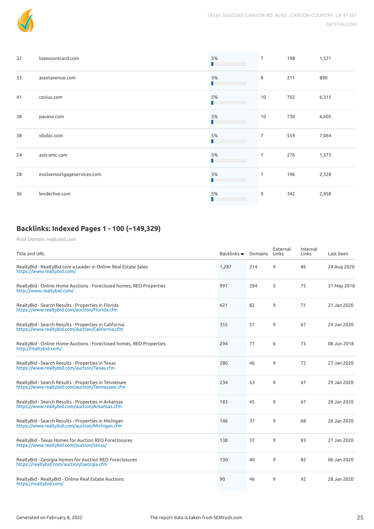

| 32 | loanscorecard.com          | 5%<br>ш | $\overline{7}$ | 198 | 1,571 |
|----|----------------------------|---------|----------------|-----|-------|
| 33 | assetavenue.com            | 5%<br>П | 8              | 211 | 890   |
| 41 | covius.com                 | 5%<br>П | 10             | 702 | 6,315 |
| 38 | pavaso.com                 | 5%<br>П | 10             | 730 | 6,605 |
| 38 | idsdoc.com                 | 5%<br>П | $\overline{7}$ | 559 | 7,064 |
| 24 | axis-amc.com               | 5%<br>П | $\overline{7}$ | 276 | 1,575 |
| 28 | evolvemortgageservices.com | 5%<br>П | $\overline{7}$ | 196 | 2,328 |
| 36 | lenderlive.com             | 5%<br>ш | 9              | 342 | 2,958 |

## **Backlinks: Indexed Pages 1 - 100 (~149,329)**

| Title and URL                                                                                             | Backlinks $\blacktriangledown$ | Domains | External<br>Links | Internal<br>Links | Last Seen   |
|-----------------------------------------------------------------------------------------------------------|--------------------------------|---------|-------------------|-------------------|-------------|
| RealtyBid - RealtyBid.com a Leader in Online Real Estate Sales<br>https://www.realtybid.com/              | 1,287                          | 214     | 9                 | 86                | 24 Aug 2020 |
| RealtyBid - Online Home Auctions - Foreclosed homes, REO Properties<br>http://www.realtybid.com/          | 997                            | 284     | 5                 | 75                | 31 May 2018 |
| RealtyBid - Search Results - Properties in Florida<br>https://www.realtybid.com/auction/Florida.cfm       | 621                            | 82      | 9                 | 71                | 21 Jan 2020 |
| RealtyBid - Search Results - Properties in California<br>https://www.realtybid.com/auction/California.cfm | 355                            | 57      | 9                 | 67                | 24 Jan 2020 |
| RealtyBid - Online Home Auctions - Foreclosed homes, REO Properties<br>http://realtybid.com/              | 294                            | 77      | 6                 | 75                | 08 Jun 2018 |
| RealtyBid - Search Results - Properties in Texas<br>https://www.realtybid.com/auction/Texas.cfm           | 280                            | 46      | 9                 | 72                | 27 Jan 2020 |
| RealtyBid - Search Results - Properties in Tennessee<br>https://www.realtybid.com/auction/Tennessee.cfm   | 234                            | 53      | 9                 | 67                | 29 Jan 2020 |
| RealtyBid - Search Results - Properties in Arkansas<br>https://www.realtybid.com/auction/Arkansas.cfm     | 183                            | 45      | 9                 | 67                | 28 Jan 2020 |
| RealtyBid - Search Results - Properties in Michigan<br>https://www.realtybid.com/auction/Michigan.cfm     | 146                            | 37      | 9                 | 68                | 26 Jan 2020 |
| RealtyBid - Texas Homes for Auction REO Foreclosures<br>https://www.realtybid.com/auction/texas/          | 138                            | 37      | 9                 | 83                | 27 Jan 2020 |
| RealtyBid - Georgia Homes for Auction REO Foreclosures<br>https://realtybid.com/auction/Georgia.cfm       | 130                            | 40      | 9                 | 82                | 06 Jan 2020 |
| RealtyBid - RealtyBid - Online Real Estate Auctions<br>https://realtybid.com/                             | 90                             | 46      | 9                 | 92                | 28 Jan 2020 |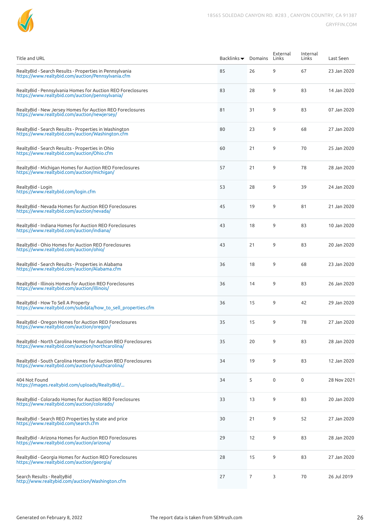

| <b>Title and URL</b>                                                                                              | Backlinks $\blacktriangledown$ | Domains        | External<br>Links | Internal<br>Links | Last Seen   |
|-------------------------------------------------------------------------------------------------------------------|--------------------------------|----------------|-------------------|-------------------|-------------|
| RealtyBid - Search Results - Properties in Pennsylvania<br>https://www.realtybid.com/auction/Pennsylvania.cfm     | 85                             | 26             | 9                 | 67                | 23 Jan 2020 |
| RealtyBid - Pennsylvania Homes for Auction REO Foreclosures<br>https://www.realtybid.com/auction/pennsylvania/    | 83                             | 28             | 9                 | 83                | 14 Jan 2020 |
| RealtyBid - New Jersey Homes for Auction REO Foreclosures<br>https://www.realtybid.com/auction/newjersey/         | 81                             | 31             | 9                 | 83                | 07 Jan 2020 |
| RealtyBid - Search Results - Properties in Washington<br>https://www.realtybid.com/auction/Washington.cfm         | 80                             | 23             | 9                 | 68                | 27 Jan 2020 |
| RealtyBid - Search Results - Properties in Ohio<br>https://www.realtybid.com/auction/Ohio.cfm                     | 60                             | 21             | 9                 | 70                | 25 Jan 2020 |
| RealtyBid - Michigan Homes for Auction REO Foreclosures<br>https://www.realtybid.com/auction/michigan/            | 57                             | 21             | 9                 | 78                | 28 Jan 2020 |
| RealtyBid - Login<br>https://www.realtybid.com/login.cfm                                                          | 53                             | 28             | 9                 | 39                | 24 Jan 2020 |
| RealtyBid - Nevada Homes for Auction REO Foreclosures<br>https://www.realtybid.com/auction/nevada/                | 45                             | 19             | 9                 | 81                | 21 Jan 2020 |
| RealtyBid - Indiana Homes for Auction REO Foreclosures<br>https://www.realtybid.com/auction/indiana/              | 43                             | 18             | 9                 | 83                | 10 Jan 2020 |
| RealtyBid - Ohio Homes for Auction REO Foreclosures<br>https://www.realtybid.com/auction/ohio/                    | 43                             | 21             | 9                 | 83                | 20 Jan 2020 |
| RealtyBid - Search Results - Properties in Alabama<br>https://www.realtybid.com/auction/Alabama.cfm               | 36                             | 18             | 9                 | 68                | 23 Jan 2020 |
| RealtyBid - Illinois Homes for Auction REO Foreclosures<br>https://www.realtybid.com/auction/illinois/            | 36                             | 14             | 9                 | 83                | 26 Jan 2020 |
| RealtyBid - How To Sell A Property<br>https://www.realtybid.com/subdata/how to sell properties.cfm                | 36                             | 15             | 9                 | 42                | 29 Jan 2020 |
| RealtyBid - Oregon Homes for Auction REO Foreclosures<br>https://www.realtybid.com/auction/oregon/                | 35                             | 15             | 9                 | 78                | 27 Jan 2020 |
| RealtyBid - North Carolina Homes for Auction REO Foreclosures<br>https://www.realtybid.com/auction/northcarolina/ | 35                             | 20             | 9                 | 83                | 28 Jan 2020 |
| RealtyBid - South Carolina Homes for Auction REO Foreclosures<br>https://www.realtybid.com/auction/southcarolina/ | 34                             | 19             | 9                 | 83                | 12 Jan 2020 |
| 404 Not Found<br>https://images.realtybid.com/uploads/RealtyBid/                                                  | 34                             | 5              | $\pmb{0}$         | $\mathbf 0$       | 28 Nov 2021 |
| RealtyBid - Colorado Homes for Auction REO Foreclosures<br>https://www.realtybid.com/auction/colorado/            | 33                             | 13             | 9                 | 83                | 20 Jan 2020 |
| RealtyBid - Search REO Properties by state and price<br>https://www.realtybid.com/search.cfm                      | 30                             | 21             | 9                 | 52                | 27 Jan 2020 |
| RealtyBid - Arizona Homes for Auction REO Foreclosures<br>https://www.realtybid.com/auction/arizona/              | 29                             | 12             | 9                 | 83                | 28 Jan 2020 |
| RealtyBid - Georgia Homes for Auction REO Foreclosures<br>https://www.realtybid.com/auction/georgia/              | 28                             | 15             | 9                 | 83                | 27 Jan 2020 |
| Search Results - RealtyBid<br>http://www.realtybid.com/auction/Washington.cfm                                     | 27                             | $\overline{7}$ | 3                 | 70                | 26 Jul 2019 |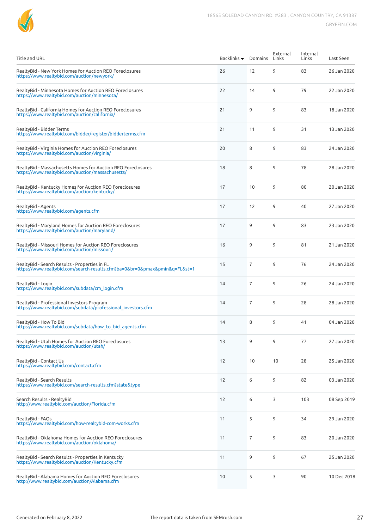| <b>Title and URL</b>                                                                                                        | Backlinks $\blacktriangledown$ | Domains        | External<br>Links | Internal<br>Links | Last Seen   |
|-----------------------------------------------------------------------------------------------------------------------------|--------------------------------|----------------|-------------------|-------------------|-------------|
| RealtyBid - New York Homes for Auction REO Foreclosures<br>https://www.realtybid.com/auction/newyork/                       | 26                             | 12             | 9                 | 83                | 26 Jan 2020 |
| RealtyBid - Minnesota Homes for Auction REO Foreclosures<br>https://www.realtybid.com/auction/minnesota/                    | 22                             | 14             | 9                 | 79                | 22 Jan 2020 |
| RealtyBid - California Homes for Auction REO Foreclosures<br>https://www.realtybid.com/auction/california/                  | 21                             | 9              | 9                 | 83                | 18 Jan 2020 |
| RealtyBid - Bidder Terms<br>https://www.realtybid.com/bidder/register/bidderterms.cfm                                       | 21                             | 11             | 9                 | 31                | 13 Jan 2020 |
| RealtyBid - Virginia Homes for Auction REO Foreclosures<br>https://www.realtybid.com/auction/virginia/                      | 20                             | 8              | 9                 | 83                | 24 Jan 2020 |
| RealtyBid - Massachusetts Homes for Auction REO Foreclosures<br>https://www.realtybid.com/auction/massachusetts/            | 18                             | 8              | 9                 | 78                | 28 Jan 2020 |
| RealtyBid - Kentucky Homes for Auction REO Foreclosures<br>https://www.realtybid.com/auction/kentucky/                      | 17                             | 10             | 9                 | 80                | 20 Jan 2020 |
| RealtyBid - Agents<br>https://www.realtybid.com/agents.cfm                                                                  | 17                             | 12             | 9                 | 40                | 27 Jan 2020 |
| RealtyBid - Maryland Homes for Auction REO Foreclosures<br>https://www.realtybid.com/auction/maryland/                      | 17                             | 9              | 9                 | 83                | 23 Jan 2020 |
| RealtyBid - Missouri Homes for Auction REO Foreclosures<br>https://www.realtybid.com/auction/missouri/                      | 16                             | 9              | 9                 | 81                | 21 Jan 2020 |
| RealtyBid - Search Results - Properties in FL<br>https://www.realtybid.com/search-results.cfm?ba=0&br=0&pmax&pmin&q=FL&st=1 | 15                             | $\overline{7}$ | 9                 | 76                | 24 Jan 2020 |
| RealtyBid - Login<br>https://www.realtybid.com/subdata/cm_login.cfm                                                         | 14                             | $\overline{7}$ | 9                 | 26                | 24 Jan 2020 |
| RealtyBid - Professional Investors Program<br>https://www.realtybid.com/subdata/professional investors.cfm                  | 14                             | $\overline{7}$ | 9                 | 28                | 28 Jan 2020 |
| RealtyBid - How To Bid<br>https://www.realtybid.com/subdata/how to bid agents.cfm                                           | 14                             | 8              | 9                 | 41                | 04 Jan 2020 |
| RealtyBid - Utah Homes for Auction REO Foreclosures<br>https://www.realtybid.com/auction/utah/                              | 13                             | 9              | 9                 | 77                | 27 Jan 2020 |
| RealtyBid - Contact Us<br>https://www.realtybid.com/contact.cfm                                                             | 12                             | 10             | 10                | 28                | 25 Jan 2020 |
| RealtyBid - Search Results<br>https://www.realtybid.com/search-results.cfm?state&type                                       | 12                             | 6              | 9                 | 82                | 03 Jan 2020 |
| Search Results - RealtyBid<br>http://www.realtybid.com/auction/Florida.cfm                                                  | 12                             | 6              | 3                 | 103               | 08 Sep 2019 |
| RealtyBid - FAQs<br>https://www.realtybid.com/how-realtybid-com-works.cfm                                                   | 11                             | 5              | 9                 | 34                | 29 Jan 2020 |
| RealtyBid - Oklahoma Homes for Auction REO Foreclosures<br>https://www.realtybid.com/auction/oklahoma/                      | 11                             | $\overline{7}$ | 9                 | 83                | 20 Jan 2020 |
| RealtyBid - Search Results - Properties in Kentucky<br>https://www.realtybid.com/auction/Kentucky.cfm                       | 11                             | 9              | 9                 | 67                | 25 Jan 2020 |
| RealtyBid - Alabama Homes for Auction REO Foreclosures<br>http://www.realtybid.com/auction/Alabama.cfm                      | 10                             | 5              | 3                 | 90                | 10 Dec 2018 |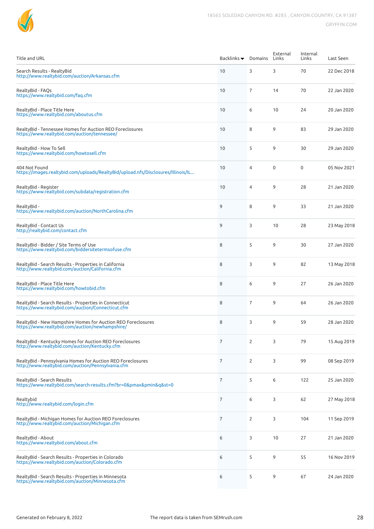

| <b>Title and URL</b>                                                                                             | Backlinks $\blacktriangledown$ | Domains        | External<br>Links | Internal<br>Links | Last Seen   |
|------------------------------------------------------------------------------------------------------------------|--------------------------------|----------------|-------------------|-------------------|-------------|
| Search Results - RealtyBid<br>http://www.realtybid.com/auction/Arkansas.cfm                                      | 10                             | 3              | 3                 | 70                | 22 Dec 2018 |
| RealtyBid - FAQs<br>https://www.realtybid.com/faq.cfm                                                            | 10                             | 7              | 14                | 70                | 22 Jan 2020 |
| RealtyBid - Place Title Here<br>https://www.realtybid.com/aboutus.cfm                                            | 10                             | 6              | 10                | 24                | 20 Jan 2020 |
| RealtyBid - Tennessee Homes for Auction REO Foreclosures<br>https://www.realtybid.com/auction/tennessee/         | 10                             | 8              | 9                 | 83                | 29 Jan 2020 |
| RealtyBid - How To Sell<br>https://www.realtybid.com/howtosell.cfm                                               | 10                             | 5              | 9                 | 30                | 29 Jan 2020 |
| 404 Not Found<br>https://images.realtybid.com/uploads/RealtyBid/upload.nfs/Disclosures/Illinois/IL               | 10                             | $\overline{4}$ | $\mathbf 0$       | $\mathbf 0$       | 05 Nov 2021 |
| RealtyBid - Register<br>https://www.realtybid.com/subdata/registration.cfm                                       | 10                             | 4              | 9                 | 28                | 21 Jan 2020 |
| RealtyBid -<br>https://www.realtybid.com/auction/NorthCarolina.cfm                                               | 9                              | 8              | 9                 | 33                | 21 Jan 2020 |
| RealtyBid - Contact Us<br>http://realtybid.com/contact.cfm                                                       | 9                              | 3              | 10                | 28                | 23 May 2018 |
| RealtyBid - Bidder / Site Terms of Use<br>https://www.realtybid.com/biddersitetermsofuse.cfm                     | 8                              | 5              | 9                 | 30                | 27 Jan 2020 |
| RealtyBid - Search Results - Properties in California<br>http://www.realtybid.com/auction/California.cfm         | 8                              | 3              | 9                 | 82                | 13 May 2018 |
| RealtyBid - Place Title Here<br>https://www.realtybid.com/howtobid.cfm                                           | 8                              | 6              | 9                 | 27                | 26 Jan 2020 |
| RealtyBid - Search Results - Properties in Connecticut<br>https://www.realtybid.com/auction/Connecticut.cfm      | 8                              | $\overline{7}$ | 9                 | 64                | 26 Jan 2020 |
| RealtyBid - New Hampshire Homes for Auction REO Foreclosures<br>https://www.realtybid.com/auction/newhampshire/  | 8                              | 3              | 9                 | 59                | 28 Jan 2020 |
| RealtyBid - Kentucky Homes for Auction REO Foreclosures<br>http://www.realtybid.com/auction/Kentucky.cfm         | $\overline{7}$                 | $\overline{2}$ | 3                 | 79                | 15 Aug 2019 |
| RealtyBid - Pennsylvania Homes for Auction REO Foreclosures<br>http://www.realtybid.com/auction/Pennsylvania.cfm | $\overline{7}$                 | 2              | 3                 | 99                | 08 Sep 2019 |
| RealtyBid - Search Results<br>https://www.realtybid.com/search-results.cfm?br=0&pmax&pmin&q&st=0                 | $\overline{7}$                 | 5              | 6                 | 122               | 25 Jan 2020 |
| Realtybid<br>http://www.realtybid.com/login.cfm                                                                  | $\overline{7}$                 | 6              | 3                 | 62                | 27 May 2018 |
| RealtyBid - Michigan Homes for Auction REO Foreclosures<br>http://www.realtybid.com/auction/Michigan.cfm         | 7                              | 2              | 3                 | 104               | 11 Sep 2019 |
| RealtyBid - About<br>https://www.realtybid.com/about.cfm                                                         | 6                              | 3              | 10                | 27                | 21 Jan 2020 |
| RealtyBid - Search Results - Properties in Colorado<br>https://www.realtybid.com/auction/Colorado.cfm            | 6                              | 5              | 9                 | 55                | 16 Nov 2019 |
| RealtyBid - Search Results - Properties in Minnesota<br>https://www.realtybid.com/auction/Minnesota.cfm          | 6                              | 5              | 9                 | 67                | 24 Jan 2020 |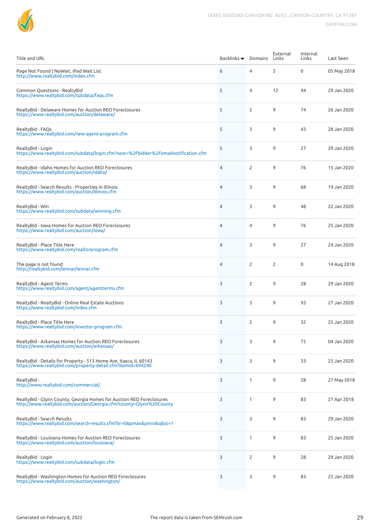| <b>Title and URL</b>                                                                                                                       | Backlinks $\blacktriangledown$ | Domains        | External<br>Links | Internal<br>Links | Last Seen   |
|--------------------------------------------------------------------------------------------------------------------------------------------|--------------------------------|----------------|-------------------|-------------------|-------------|
| Page Not Found   NoWait, iPad Wait List<br>http://www.realtybid.com/index.cfm                                                              | 6                              | 4              | $\overline{2}$    | $\mathbf 0$       | 05 May 2018 |
| Common Questions - RealtyBid<br>https://www.realtybid.com/subdata/fags.cfm                                                                 | 5                              | $\overline{4}$ | 12                | 44                | 29 Jan 2020 |
| RealtyBid - Delaware Homes for Auction REO Foreclosures<br>https://www.realtybid.com/auction/delaware/                                     | 5                              | 5              | 9                 | 74                | 26 Jan 2020 |
| RealtyBid - FAQs<br>https://www.realtybid.com/new-agent-program.cfm                                                                        | 5                              | 3              | 9                 | 43                | 28 Jan 2020 |
| RealtyBid - Login<br>https://www.realtybid.com/subdata/login.cfm?next=%2Fbidder%2Femailnotification.cfm                                    | 5                              | 3              | 9                 | 27                | 29 Jan 2020 |
| RealtyBid - Idaho Homes for Auction REO Foreclosures<br>https://www.realtybid.com/auction/idaho/                                           | $\overline{4}$                 | 2              | 9                 | 76                | 15 Jan 2020 |
| RealtyBid - Search Results - Properties in Illinois<br>https://www.realtybid.com/auction/Illinois.cfm                                      | $\overline{4}$                 | 3              | 9                 | 68                | 19 Jan 2020 |
| RealtvBid - Win<br>https://www.realtybid.com/subdata/winning.cfm                                                                           | $\overline{4}$                 | 3              | 9                 | 48                | 22 Jan 2020 |
| RealtyBid - Iowa Homes for Auction REO Foreclosures<br>https://www.realtybid.com/auction/iowa/                                             | $\overline{4}$                 | 4              | 9                 | 76                | 25 Jan 2020 |
| RealtyBid - Place Title Here<br>https://www.realtybid.com/realtorprogram.cfm                                                               | $\overline{4}$                 | 3              | 9                 | 27                | 24 Jan 2020 |
| The page is not found<br>http://realtybid.com/lennar/lennar.cfm                                                                            | $\overline{4}$                 | 2              | 2                 | $\mathbf 0$       | 14 Aug 2018 |
| RealtyBid - Agent Terms<br>https://www.realtybid.com/agent/agentterms.cfm                                                                  | 3                              | 2              | 9                 | 28                | 29 Jan 2020 |
| RealtyBid - RealtyBid - Online Real Estate Auctions<br>https://www.realtybid.com/index.cfm                                                 | 3                              | 3              | 9                 | 93                | 27 Jan 2020 |
| RealtyBid - Place Title Here<br>https://www.realtybid.com/investor-program.cfm                                                             | 3                              | 2              | 9                 | 32                | 25 Jan 2020 |
| RealtyBid - Arkansas Homes for Auction REO Foreclosures<br>https://www.realtybid.com/auction/arkansas/                                     | 3                              | 3              | 9                 | 75                | 04 Jan 2020 |
| RealtyBid - Details for Property - 513 Home Ave, Itasca, IL 60143<br>https://www.realtybid.com/property-detail.cfm?itemId=694240           | 3                              | 3              | 9                 | 33                | 25 Jan 2020 |
| RealtyBid -<br>http://www.realtybid.com/commercial/                                                                                        | 3                              | $\mathbf{1}$   | 9                 | 28                | 27 May 2018 |
| RealtyBid - Glynn County, Georgia Homes for Auction REO Foreclosures<br>http://www.realtybid.com/auction/Georgia.cfm?county=Glynn%20County | 3                              | $\mathbf{1}$   | 9                 | 83                | 27 Apr 2018 |
| RealtyBid - Search Results<br>https://www.realtybid.com/search-results.cfm?br=0&pmax&pmin&q&st=1                                           | 3                              | 3              | 9                 | 83                | 29 Jan 2020 |
| RealtyBid - Louisiana Homes for Auction REO Foreclosures<br>https://www.realtybid.com/auction/louisiana/                                   | 3                              | $\mathbf{1}$   | 9                 | 83                | 25 Jan 2020 |
| RealtyBid - Login<br>https://www.realtybid.com/subdata/login.cfm                                                                           | 3                              | $\overline{2}$ | 9                 | 28                | 29 Jan 2020 |
| RealtyBid - Washington Homes for Auction REO Foreclosures<br>https://www.realtybid.com/auction/washington/                                 | 3                              | 3              | 9                 | 83                | 25 Jan 2020 |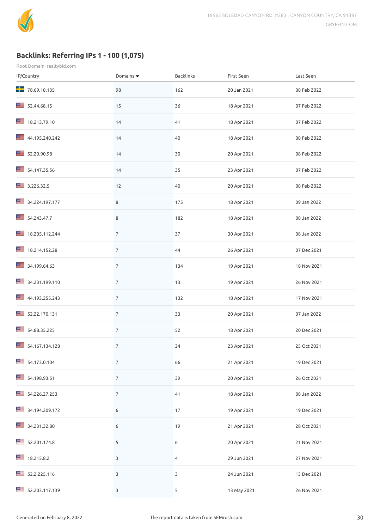

## **Backlinks: Referring IPs 1 - 100 (1,075)**

| IP/Country     | Domains $\blacktriangledown$ | Backlinks      | First Seen  | Last Seen   |
|----------------|------------------------------|----------------|-------------|-------------|
| 78.69.18.135   | 98                           | 162            | 20 Jan 2021 | 08 Feb 2022 |
| 52.44.68.15    | 15                           | 36             | 18 Apr 2021 | 07 Feb 2022 |
| 18.213.79.10   | 14                           | 41             | 18 Apr 2021 | 07 Feb 2022 |
| 44.195.240.242 | 14                           | 40             | 18 Apr 2021 | 08 Feb 2022 |
| 52.20.90.98    | 14                           | 30             | 20 Apr 2021 | 08 Feb 2022 |
| 54.147.35.56   | 14                           | 35             | 23 Apr 2021 | 07 Feb 2022 |
| 3.226.32.5     | 12                           | 40             | 20 Apr 2021 | 08 Feb 2022 |
| 34.224.197.177 | $\,8\,$                      | 175            | 18 Apr 2021 | 09 Jan 2022 |
| 54.243.47.7    | $\,8\,$                      | 182            | 18 Apr 2021 | 08 Jan 2022 |
| 18.205.112.244 | $\overline{7}$               | 37             | 30 Apr 2021 | 08 Jan 2022 |
| 18.214.152.28  | $\overline{7}$               | 44             | 26 Apr 2021 | 07 Dec 2021 |
| 34.199.64.63   | $\overline{7}$               | 134            | 19 Apr 2021 | 18 Nov 2021 |
| 34.231.199.110 | $\overline{7}$               | 13             | 19 Apr 2021 | 26 Nov 2021 |
| 44.193.255.243 | $\overline{7}$               | 132            | 18 Apr 2021 | 17 Nov 2021 |
| 52.22.170.131  | $\overline{7}$               | 33             | 20 Apr 2021 | 07 Jan 2022 |
| 34.88.35.225   | $\overline{7}$               | 52             | 18 Apr 2021 | 20 Dec 2021 |
| 54.167.134.128 | $\overline{7}$               | 24             | 23 Apr 2021 | 25 Oct 2021 |
| 54.173.0.104   | $\overline{7}$               | 66             | 21 Apr 2021 | 19 Dec 2021 |
| 54.198.93.51   | $\overline{7}$               | 39             | 20 Apr 2021 | 26 Oct 2021 |
| 34.226.27.253  | $\overline{7}$               | 41             | 18 Apr 2021 | 08 Jan 2022 |
| 34.194.209.172 | 6                            | 17             | 19 Apr 2021 | 19 Dec 2021 |
| 34.231.32.80   | 6                            | 19             | 21 Apr 2021 | 28 Oct 2021 |
| 52.201.174.8   | 5                            | 6              | 20 Apr 2021 | 21 Nov 2021 |
| 18.215.8.2     | 3                            | $\overline{4}$ | 29 Jun 2021 | 27 Nov 2021 |
| 52.2.225.116   | 3                            | 3              | 24 Jun 2021 | 13 Dec 2021 |
| 52.203.117.139 | 3                            | 5              | 13 May 2021 | 26 Nov 2021 |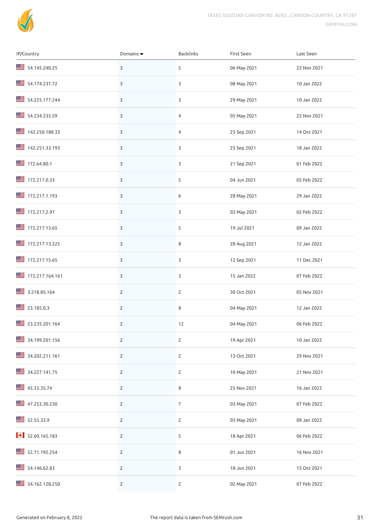

| IP/Country                   | Domains $\blacktriangledown$ | Backlinks      | First Seen  | Last Seen   |
|------------------------------|------------------------------|----------------|-------------|-------------|
| 34.145.240.25                | 3                            | 5              | 06 May 2021 | 22 Nov 2021 |
| 54.174.237.72                | $\mathbf{3}$                 | 3              | 08 May 2021 | 10 Jan 2022 |
| 54.225.177.244               | 3                            | 3              | 29 May 2021 | 10 Jan 2022 |
| 54.234.235.59                | 3                            | 4              | 05 May 2021 | 22 Nov 2021 |
| 142.250.188.33               | 3                            | 4              | 23 Sep 2021 | 14 Oct 2021 |
| ■ 142.251.33.193             | 3                            | 3              | 25 Sep 2021 | 18 Jan 2022 |
| 172.64.80.1                  | 3                            | 3              | 21 Sep 2021 | 01 Feb 2022 |
| 172.217.0.33                 | 3                            | 5              | 04 Jun 2021 | 05 Feb 2022 |
| 172.217.1.193                | 3                            | 6              | 28 May 2021 | 29 Jan 2022 |
| ■ 172.217.2.97               | 3                            | 3              | 03 May 2021 | 02 Feb 2022 |
| 172.217.13.65                | 3                            | 5              | 19 Jul 2021 | 09 Jan 2022 |
| 172.217.13.225               | 3                            | 8              | 28 Aug 2021 | 12 Jan 2022 |
| 172.217.15.65                | 3                            | 3              | 12 Sep 2021 | 11 Dec 2021 |
| 172.217.164.161              | 3                            | 3              | 15 Jan 2022 | 07 Feb 2022 |
| 3.218.85.164                 | $\overline{2}$               | $\overline{2}$ | 30 Oct 2021 | 05 Nov 2021 |
| 23.185.0.3                   | $\overline{2}$               | 8              | 04 May 2021 | 12 Jan 2022 |
| 23.235.201.164               | $\overline{2}$               | 12             | 04 May 2021 | 06 Feb 2022 |
| 34.199.201.156               | $\overline{2}$               | $\mathbf{2}$   | 19 Apr 2021 | 10 Jan 2022 |
| 34.202.211.161               | $\overline{2}$               | $\overline{2}$ | 13 Oct 2021 | 29 Nov 2021 |
| 34.227.141.75                | $\overline{2}$               | $\overline{2}$ | 10 May 2021 | 21 Nov 2021 |
| 45.33.35.74                  | $\overline{2}$               | 8              | 25 Nov 2021 | 16 Jan 2022 |
| 47.253.30.230                | $\mathbf{2}$                 | $\overline{7}$ | 03 May 2021 | 07 Feb 2022 |
| 52.55.33.9                   | $\overline{2}$               | $\mathbf{2}$   | 03 May 2021 | 09 Jan 2022 |
| $\big\{\big\}$ 52.60.165.183 | $\overline{2}$               | 5              | 18 Apr 2021 | 06 Feb 2022 |
| 52.71.192.254                | $\overline{2}$               | 8              | 01 Jun 2021 | 16 Nov 2021 |
| 54.146.62.83                 | $\overline{2}$               | 3              | 18 Jun 2021 | 15 Oct 2021 |
| 34.162.128.250               | $\overline{2}$               | $\overline{2}$ | 02 May 2021 | 07 Feb 2022 |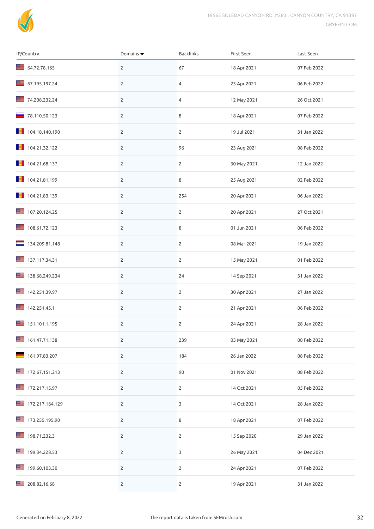

| IP/Country                   | Domains $\blacktriangledown$ | Backlinks      | First Seen  | Last Seen   |
|------------------------------|------------------------------|----------------|-------------|-------------|
| 64.72.78.165                 | $\overline{2}$               | 67             | 18 Apr 2021 | 07 Feb 2022 |
| 67.195.197.24                | $\overline{2}$               | 4              | 23 Apr 2021 | 06 Feb 2022 |
| 74.208.232.24                | $\overline{2}$               | 4              | 12 May 2021 | 26 Oct 2021 |
| $\blacksquare$ 78.110.50.123 | $\overline{2}$               | 8              | 18 Apr 2021 | 07 Feb 2022 |
| 104.18.140.190               | $\overline{2}$               | $\overline{2}$ | 19 Jul 2021 | 31 Jan 2022 |
| $\blacksquare$ 104.21.32.122 | $\mathbf{2}$                 | 96             | 23 Aug 2021 | 08 Feb 2022 |
|                              | $\overline{2}$               | $\overline{2}$ | 30 May 2021 | 12 Jan 2022 |
| 104.21.81.199                | $\overline{2}$               | 8              | 25 Aug 2021 | 02 Feb 2022 |
| $\blacksquare$ 104.21.83.139 | $\overline{2}$               | 254            | 20 Apr 2021 | 06 Jan 2022 |
| ■ 107.20.124.25              | $\overline{2}$               | $\overline{2}$ | 20 Apr 2021 | 27 Oct 2021 |
| ■ 108.61.72.123              | $\overline{2}$               | 8              | 01 Jun 2021 | 06 Feb 2022 |
| $\frac{1}{2}$ 134.209.81.148 | $\overline{2}$               | $\overline{2}$ | 08 Mar 2021 | 19 Jan 2022 |
| 37.117.34.31                 | $\overline{2}$               | $\overline{2}$ | 15 May 2021 | 01 Feb 2022 |
| ■ 138.68.249.234             | $\mathbf{2}$                 | 24             | 14 Sep 2021 | 31 Jan 2022 |
| 142.251.39.97                | $\mathbf{2}$                 | $\overline{2}$ | 30 Apr 2021 | 27 Jan 2022 |
| 142.251.45.1                 | $\mathbf{2}$                 | $\overline{2}$ | 21 Apr 2021 | 06 Feb 2022 |
| 151.101.1.195                | $\mathbf{2}$                 | 2              | 24 Apr 2021 | 28 Jan 2022 |
| 161.47.71.138                | $\overline{2}$               | 239            | 03 May 2021 | 08 Feb 2022 |
| 161.97.83.207                | $\overline{2}$               | 184            | 26 Jan 2022 | 08 Feb 2022 |
| 172.67.151.213               | $\mathbf{2}$                 | 90             | 01 Nov 2021 | 08 Feb 2022 |
| 172.217.15.97                | $\mathbf{2}$                 | $\mathbf{2}$   | 14 Oct 2021 | 05 Feb 2022 |
| 172.217.164.129              | $\overline{2}$               | 3              | 14 Oct 2021 | 28 Jan 2022 |
| 173.255.195.90               | $\overline{2}$               | 8              | 18 Apr 2021 | 07 Feb 2022 |
| ■ 198.71.232.3               | $\overline{2}$               | $\overline{2}$ | 15 Sep 2020 | 29 Jan 2022 |
| ■ 199.34.228.53              | $\overline{2}$               | 3              | 26 May 2021 | 04 Dec 2021 |
| ■ 199.60.103.30              | $\overline{2}$               | $\mathbf{2}$   | 24 Apr 2021 | 07 Feb 2022 |
| 208.82.16.68                 | $\mathbf{2}$                 | $\mathbf{2}$   | 19 Apr 2021 | 31 Jan 2022 |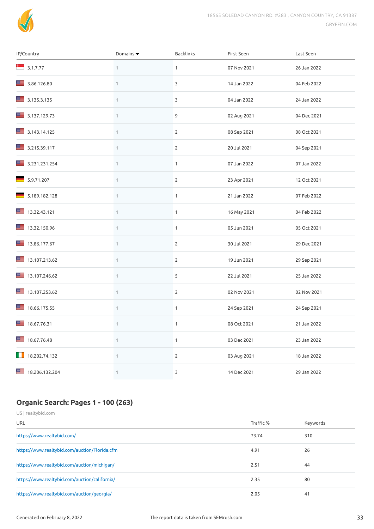

| IP/Country             | Domains $\blacktriangledown$ | Backlinks      | First Seen  | Last Seen   |
|------------------------|------------------------------|----------------|-------------|-------------|
| $\frac{1}{2}$ 3.1.7.77 | $\mathbf{1}$                 | $\mathbf{1}$   | 07 Nov 2021 | 26 Jan 2022 |
| 3.86.126.80            | $\mathbf{1}$                 | 3              | 14 Jan 2022 | 04 Feb 2022 |
| 3.135.3.135            | $\mathbf{1}$                 | 3              | 04 Jan 2022 | 24 Jan 2022 |
| 3.137.129.73           | $\mathbf{1}$                 | 9              | 02 Aug 2021 | 04 Dec 2021 |
| 3.143.14.125           | $\mathbf{1}$                 | $\overline{2}$ | 08 Sep 2021 | 08 Oct 2021 |
| 3.215.39.117           | $\mathbf{1}$                 | $\mathbf{2}$   | 20 Jul 2021 | 04 Sep 2021 |
| 3.231.231.254          | $\mathbf{1}$                 | $\mathbf{1}$   | 07 Jan 2022 | 07 Jan 2022 |
| 5.9.71.207             | $\mathbf{1}$                 | $\overline{2}$ | 23 Apr 2021 | 12 Oct 2021 |
| 5.189.182.128          | $\mathbf{1}$                 | $\mathbf{1}$   | 21 Jan 2022 | 07 Feb 2022 |
| 13.32.43.121           | $\mathbf 1$                  | $\mathbf{1}$   | 16 May 2021 | 04 Feb 2022 |
| 13.32.150.96           | $\mathbf{1}$                 | $\mathbf{1}$   | 05 Jun 2021 | 05 Oct 2021 |
| 13.86.177.67           | $\mathbf{1}$                 | $\overline{2}$ | 30 Jul 2021 | 29 Dec 2021 |
| 13.107.213.62          | $\mathbf{1}$                 | $\overline{2}$ | 19 Jun 2021 | 29 Sep 2021 |
| 13.107.246.62          | $\mathbf{1}$                 | 5              | 22 Jul 2021 | 25 Jan 2022 |
| 13.107.253.62          | $\mathbf{1}$                 | $\overline{2}$ | 02 Nov 2021 | 02 Nov 2021 |
| 18.66.175.55           | $\mathbf 1$                  | $\mathbf{1}$   | 24 Sep 2021 | 24 Sep 2021 |
| 18.67.76.31            | $\mathbf{1}$                 | $\mathbf{1}$   | 08 Oct 2021 | 21 Jan 2022 |
| 18.67.76.48            | $\mathbf{1}$                 | $\mathbf{1}$   | 03 Dec 2021 | 23 Jan 2022 |
| 18.202.74.132          | $\mathbf{1}$                 | $\mathbf{2}$   | 03 Aug 2021 | 18 Jan 2022 |
| 18.206.132.204         | $\mathbf{1}$                 | 3              | 14 Dec 2021 | 29 Jan 2022 |

## **Organic Search: Pages 1 - 100 (263)**

| US   realtybid.com                            |           |          |
|-----------------------------------------------|-----------|----------|
| URL                                           | Traffic % | Keywords |
| https://www.realtybid.com/                    | 73.74     | 310      |
| https://www.realtybid.com/auction/Florida.cfm | 4.91      | 26       |
| https://www.realtybid.com/auction/michigan/   | 2.51      | 44       |
| https://www.realtybid.com/auction/california/ | 2.35      | 80       |
| https://www.realtybid.com/auction/georgia/    | 2.05      | 41       |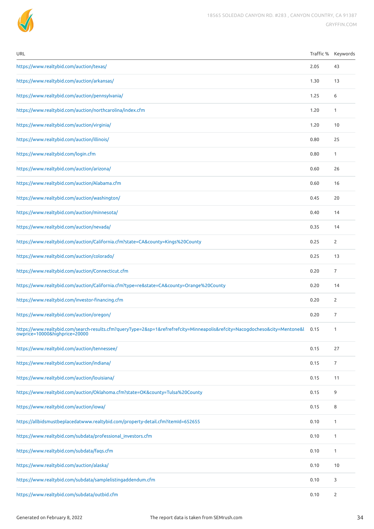

| URL                                                                                                                                                          | Traffic % | Keywords       |
|--------------------------------------------------------------------------------------------------------------------------------------------------------------|-----------|----------------|
| https://www.realtybid.com/auction/texas/                                                                                                                     | 2.05      | 43             |
| https://www.realtybid.com/auction/arkansas/                                                                                                                  | 1.30      | 13             |
| https://www.realtybid.com/auction/pennsylvania/                                                                                                              | 1.25      | 6              |
| https://www.realtybid.com/auction/northcarolina/index.cfm                                                                                                    | 1.20      | 1              |
| https://www.realtybid.com/auction/virginia/                                                                                                                  | 1.20      | 10             |
| https://www.realtybid.com/auction/illinois/                                                                                                                  | 0.80      | 25             |
| https://www.realtybid.com/login.cfm                                                                                                                          | 0.80      | 1              |
| https://www.realtybid.com/auction/arizona/                                                                                                                   | 0.60      | 26             |
| https://www.realtybid.com/auction/Alabama.cfm                                                                                                                | 0.60      | 16             |
| https://www.realtybid.com/auction/washington/                                                                                                                | 0.45      | 20             |
| https://www.realtybid.com/auction/minnesota/                                                                                                                 | 0.40      | 14             |
| https://www.realtybid.com/auction/nevada/                                                                                                                    | 0.35      | 14             |
| https://www.realtybid.com/auction/California.cfm?state=CA&county=Kings%20County                                                                              | 0.25      | 2              |
| https://www.realtybid.com/auction/colorado/                                                                                                                  | 0.25      | 13             |
| https://www.realtybid.com/auction/Connecticut.cfm                                                                                                            | 0.20      | 7              |
| https://www.realtybid.com/auction/California.cfm?type=re&state=CA&county=Orange%20County                                                                     | 0.20      | 14             |
| https://www.realtybid.com/investor-financing.cfm                                                                                                             | 0.20      | 2              |
| https://www.realtybid.com/auction/oregon/                                                                                                                    | 0.20      | 7              |
| https://www.realtybid.com/search-results.cfm?queryType=2&sp=1&refrefrefcity=Minneapolis&refcity=Nacogdocheso&city=Mentone&l<br>owprice=10000&highprice=20000 | 0.15      | 1              |
| https://www.realtybid.com/auction/tennessee/                                                                                                                 | 0.15      | 27             |
| https://www.realtybid.com/auction/indiana/                                                                                                                   | 0.15      | 7              |
| https://www.realtybid.com/auction/louisiana/                                                                                                                 | 0.15      | 11             |
| https://www.realtybid.com/auction/Oklahoma.cfm?state=OK&county=Tulsa%20County                                                                                | 0.15      | 9              |
| https://www.realtybid.com/auction/iowa/                                                                                                                      | 0.15      | 8              |
| https://allbidsmustbeplacedatwww.realtybid.com/property-detail.cfm?itemId=652655                                                                             | 0.10      | 1              |
| https://www.realtybid.com/subdata/professional_investors.cfm                                                                                                 | 0.10      | 1              |
| https://www.realtybid.com/subdata/faqs.cfm                                                                                                                   | 0.10      | $\mathbf{1}$   |
| https://www.realtybid.com/auction/alaska/                                                                                                                    | 0.10      | 10             |
| https://www.realtybid.com/subdata/samplelistingaddendum.cfm                                                                                                  | 0.10      | 3              |
| https://www.realtybid.com/subdata/outbid.cfm                                                                                                                 | 0.10      | $\overline{2}$ |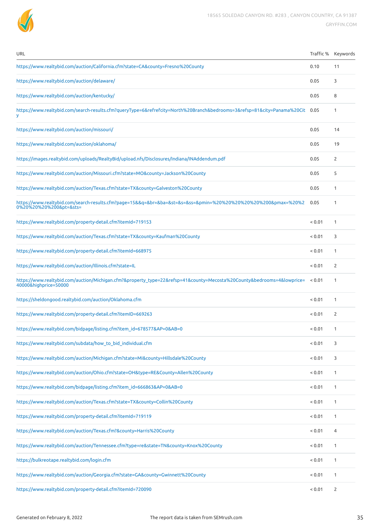

| URL                                                                                                                                             |             | Traffic % Keywords |
|-------------------------------------------------------------------------------------------------------------------------------------------------|-------------|--------------------|
| https://www.realtybid.com/auction/California.cfm?state=CA&county=Fresno%20County                                                                | 0.10        | 11                 |
| https://www.realtybid.com/auction/delaware/                                                                                                     | 0.05        | 3                  |
| https://www.realtybid.com/auction/kentucky/                                                                                                     | 0.05        | 8                  |
| https://www.realtybid.com/search-results.cfm?queryType=6&refrefcity=North%20Branch&bedrooms=3&refsp=81&city=Panama%20Cit                        | 0.05        | 1                  |
| https://www.realtybid.com/auction/missouri/                                                                                                     | 0.05        | 14                 |
| https://www.realtybid.com/auction/oklahoma/                                                                                                     | 0.05        | 19                 |
| https://images.realtybid.com/uploads/RealtyBid/upload.nfs/Disclosures/Indiana/INAddendum.pdf                                                    | 0.05        | $\overline{2}$     |
| https://www.realtybid.com/auction/Missouri.cfm?state=MO&county=Jackson%20County                                                                 | 0.05        | 5                  |
| https://www.realtybid.com/auction/Texas.cfm?state=TX&county=Galveston%20County                                                                  | 0.05        | 1                  |
| https://www.realtybid.com/search-results.cfm?page=15&&q=&br=&ba=&st=&s=&ss=&pmin=%20%20%20%20%20%20&pmax=%20%2<br>0%20%20%20%200&pt=&sts=       | 0.05        | 1                  |
| https://www.realtybid.com/property-detail.cfm?itemId=719153                                                                                     | < 0.01      | 1                  |
| https://www.realtybid.com/auction/Texas.cfm?state=TX&county=Kaufman%20County                                                                    | < 0.01      | 3                  |
| https://www.realtybid.com/property-detail.cfm?itemId=668975                                                                                     | < 0.01      | 1                  |
| https://www.realtybid.com/auction/Illinois.cfm?state=IL                                                                                         | < 0.01      | 2                  |
| https://www.realtybid.com/auction/Michigan.cfm?&property_type=22&refsp=41&county=Mecosta%20County&bedrooms=4&lowprice=<br>40000&highprice=50000 | ${}_{0.01}$ | 1                  |
| https://sheldongood.realtybid.com/auction/Oklahoma.cfm                                                                                          | < 0.01      | 1                  |
| https://www.realtybid.com/property-detail.cfm?itemID=669263                                                                                     | < 0.01      | 2                  |
| https://www.realtybid.com/bidpage/listing.cfm?item_id=678577&AP=0&AB=0                                                                          | < 0.01      | 1                  |
| https://www.realtybid.com/subdata/how_to_bid_individual.cfm                                                                                     | < 0.01      | 3                  |
| https://www.realtybid.com/auction/Michigan.cfm?state=MI&county=Hillsdale%20County                                                               | < 0.01      | 3                  |
| https://www.realtybid.com/auction/Ohio.cfm?state=OH&type=RE&County=Allen%20County                                                               | < 0.01      | 1                  |
| https://www.realtybid.com/bidpage/listing.cfm?item_id=666863&AP=0&AB=0                                                                          | < 0.01      | 1                  |
| https://www.realtybid.com/auction/Texas.cfm?state=TX&county=Collin%20County                                                                     | < 0.01      | 1                  |
| https://www.realtybid.com/property-detail.cfm?itemId=719119                                                                                     | < 0.01      | 1                  |
| https://www.realtybid.com/auction/Texas.cfm?&county=Harris%20County                                                                             | < 0.01      | 4                  |
| https://www.realtybid.com/auction/Tennessee.cfm?type=re&state=TN&county=Knox%20County                                                           | < 0.01      | 1                  |
| https://bulkreotape.realtybid.com/login.cfm                                                                                                     | < 0.01      | 1                  |
| https://www.realtybid.com/auction/Georgia.cfm?state=GA&county=Gwinnett%20County                                                                 | < 0.01      | 1                  |
| https://www.realtybid.com/property-detail.cfm?itemId=720090                                                                                     | < 0.01      | 2                  |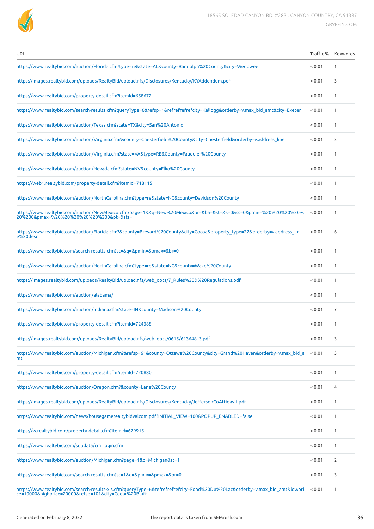

| URL                                                                                                                                                       |        | Traffic % Keywords |
|-----------------------------------------------------------------------------------------------------------------------------------------------------------|--------|--------------------|
| https://www.realtybid.com/auction/Florida.cfm?type=re&state=AL&county=Randolph%20County&city=Wedowee                                                      | < 0.01 | 1                  |
| https://images.realtybid.com/uploads/RealtyBid/upload.nfs/Disclosures/Kentucky/KYAddendum.pdf                                                             | < 0.01 | 3                  |
| https://www.realtybid.com/property-detail.cfm?itemId=658672                                                                                               | < 0.01 | 1                  |
| https://www.realtybid.com/search-results.cfm?queryType=6&refsp=1&refrefrefrefcity=Kellogg&orderby=v.max bid amt&city=Exeter                               | < 0.01 | 1                  |
| https://www.realtybid.com/auction/Texas.cfm?state=TX&city=San%20Antonio                                                                                   | < 0.01 | 1                  |
| https://www.realtybid.com/auction/Virginia.cfm?&county=Chesterfield%20County&city=Chesterfield&orderby=v.address line                                     | < 0.01 | 2                  |
| https://www.realtybid.com/auction/Virginia.cfm?state=VA&type=RE&County=Fauquier%20County                                                                  | < 0.01 | 1                  |
| https://www.realtybid.com/auction/Nevada.cfm?state=NV&county=Elko%20County                                                                                | < 0.01 | 1                  |
| https://web1.realtybid.com/property-detail.cfm?itemId=718115                                                                                              | < 0.01 | 1                  |
| https://www.realtybid.com/auction/NorthCarolina.cfm?type=re&state=NC&county=Davidson%20County                                                             | < 0.01 | 1                  |
| https://www.realtybid.com/auction/NewMexico.cfm?page=1&&q=New%20Mexico&br=&ba=&st=&s=0&ss=0&pmin=%20%20%20%20%<br>20%200&pmax=%20%20%20%20%20%20&pt=&sts= | < 0.01 | 1                  |
| https://www.realtybid.com/auction/Florida.cfm?&county=Brevard%20County&city=Cocoa&property type=22&orderby=v.address lin<br>e%20desc                      | < 0.01 | 6                  |
| https://www.realtybid.com/search-results.cfm?st=&q=&pmin=&pmax=&br=0                                                                                      | < 0.01 | 1                  |
| https://www.realtybid.com/auction/NorthCarolina.cfm?type=re&state=NC&county=Wake%20County                                                                 | < 0.01 | 1                  |
| https://images.realtybid.com/uploads/RealtyBid/upload.nfs/web docs/7 Rules%20&%20Regulations.pdf                                                          | < 0.01 | 1                  |
| https://www.realtybid.com/auction/alabama/                                                                                                                | < 0.01 | 1                  |
| https://www.realtybid.com/auction/Indiana.cfm?state=IN&county=Madison%20County                                                                            | < 0.01 | 7                  |
| https://www.realtybid.com/property-detail.cfm?itemId=724388                                                                                               | < 0.01 | 1                  |
| https://images.realtybid.com/uploads/RealtyBid/upload.nfs/web_docs/0615/613648_3.pdf                                                                      | < 0.01 | 3                  |
| https://www.realtybid.com/auction/Michigan.cfm?&refsp=61&county=Ottawa%20County&city=Grand%20Haven&orderby=v.max_bid_a<br>mt.                             | < 0.01 | 3                  |
| https://www.realtybid.com/property-detail.cfm?itemId=720880                                                                                               | < 0.01 | 1                  |
| https://www.realtybid.com/auction/Oregon.cfm?&county=Lane%20County                                                                                        | < 0.01 | 4                  |
| https://images.realtybid.com/uploads/RealtyBid/upload.nfs/Disclosures/Kentucky/JeffersonCoAffidavit.pdf                                                   | < 0.01 | 1                  |
| https://www.realtybid.com/news/housegamerealtybidvalcom.pdf?INITIAL_VIEW=100&POPUP_ENABLED=false                                                          | < 0.01 | 1                  |
| https://w.realtybid.com/property-detail.cfm?itemid=629915                                                                                                 | < 0.01 | 1                  |
| https://www.realtybid.com/subdata/cm_login.cfm                                                                                                            | < 0.01 | 1                  |
| https://www.realtybid.com/auction/Michigan.cfm?page=1&q=Michigan&st=1                                                                                     | < 0.01 | $\overline{2}$     |
| https://www.realtybid.com/search-results.cfm?st=1&q=&pmin=&pmax=&br=0                                                                                     | < 0.01 | 3                  |
|                                                                                                                                                           |        |                    |

[https://www.realtybid.com/search-results-xls.cfm?queryType=6&refrefrefrefcity=Fond%20Du%20Lac&orderby=v.max\\_bid\\_amt&lowpri](https://www.realtybid.com/search-results-xls.cfm?queryType=6&refrefrefrefcity=Fond%20Du%20Lac&orderby=v.max_bid_amt&lowprice=10000&highprice=20000&refsp=101&city=Cedar%20Bluff) < 0.01 1<br>ce=10000&highprice=20000&refsp=101&city=Cedar%20Bluff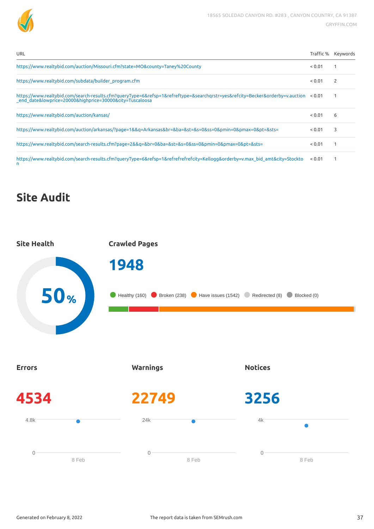

| URL | Traffic % Keywords |
|-----|--------------------|
|     |                    |

| https://www.realtybid.com/auction/Missouri.cfm?state=MO&county=Taney%20County                                                                                                                   | < 0.01 |   |
|-------------------------------------------------------------------------------------------------------------------------------------------------------------------------------------------------|--------|---|
| https://www.realtybid.com/subdata/builder program.cfm                                                                                                                                           | < 0.01 | 2 |
| https://www.realtybid.com/search-results.cfm?queryType=6&refsp=1&refreftype=&searchqrstr=yes&refcity=Becker&orderby=v.auction < 0.01<br>end date&lowprice=20000&highprice=30000&city=Tuscaloosa |        |   |
| https://www.realtybid.com/auction/kansas/                                                                                                                                                       | < 0.01 | 6 |
| https://www.realtybid.com/auction/arkansas/?page=1&&g=Arkansas&br=&ba=&st=&s=0&ss=0&pmin=0&pmax=0&pt=&sts=                                                                                      | < 0.01 | 3 |
| https://www.realtybid.com/search-results.cfm?page=2&&g=&br=0&ba=&st=&s=0&ss=0&pmin=0&pmax=0&pt=&sts=                                                                                            | < 0.01 | 1 |
| https://www.realtybid.com/search-results.cfm?queryType=6&refsp=1&refrefrefrefcity=Kellogg&orderby=v.max_bid_amt&city=Stockto<br>n.                                                              | < 0.01 |   |

## **Site Audit**

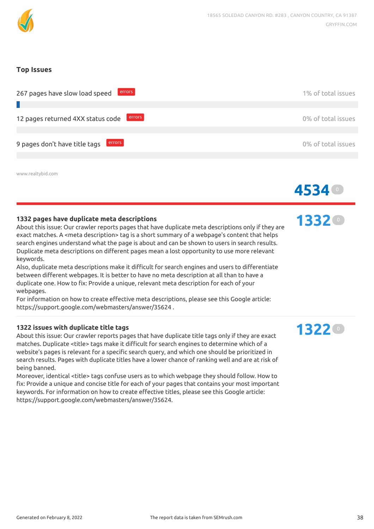

#### **Top Issues**

| errors<br>267 pages have slow load speed    | 1% of total issues |
|---------------------------------------------|--------------------|
|                                             |                    |
| errors<br>12 pages returned 4XX status code | 0% of total issues |
|                                             |                    |
| errors<br>9 pages don't have title tags     | 0% of total issues |
|                                             |                    |
|                                             |                    |

www.realtybid.com

#### **1332 pages have duplicate meta descriptions**

About this issue: Our crawler reports pages that have duplicate meta descriptions only if they are exact matches. A <meta description> tag is a short summary of a webpage's content that helps search engines understand what the page is about and can be shown to users in search results. Duplicate meta descriptions on different pages mean a lost opportunity to use more relevant keywords.

Also, duplicate meta descriptions make it difficult for search engines and users to differentiate between different webpages. It is better to have no meta description at all than to have a duplicate one. How to x: Provide a unique, relevant meta description for each of your webpages.

For information on how to create effective meta descriptions, please see this Google article: https://support.google.com/webmasters/answer/35624 .

#### **1322 issues with duplicate title tags**

About this issue: Our crawler reports pages that have duplicate title tags only if they are exact matches. Duplicate <title> tags make it difficult for search engines to determine which of a website's pages is relevant for a specific search query, and which one should be prioritized in search results. Pages with duplicate titles have a lower chance of ranking well and are at risk of being banned.

Moreover, identical <title> tags confuse users as to which webpage they should follow. How to x: Provide a unique and concise title for each of your pages that contains your most important keywords. For information on how to create effective titles, please see this Google article: https://support.google.com/webmasters/answer/35624.

**1332** <sup>0</sup>

**4534** <sup>0</sup>

## **1322** <sup>0</sup>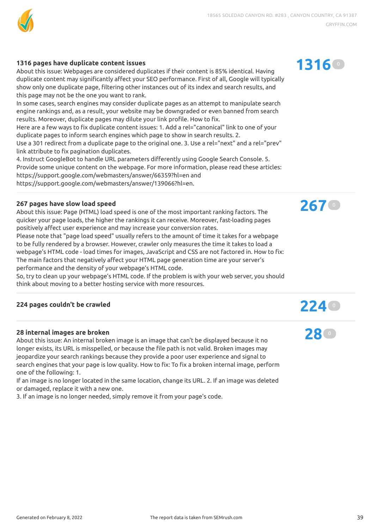

#### **1316 pages have duplicate content issues**

About this issue: Webpages are considered duplicates if their content is 85% identical. Having duplicate content may significantly affect your SEO performance. First of all, Google will typically show only one duplicate page, filtering other instances out of its index and search results, and this page may not be the one you want to rank.

In some cases, search engines may consider duplicate pages as an attempt to manipulate search engine rankings and, as a result, your website may be downgraded or even banned from search results. Moreover, duplicate pages may dilute your link profile. How to fix.

Here are a few ways to fix duplicate content issues: 1. Add a rel="canonical" link to one of your duplicate pages to inform search engines which page to show in search results. 2.

Use a 301 redirect from a duplicate page to the original one. 3. Use a rel="next" and a rel="prev" link attribute to fix pagination duplicates.

4. Instruct GoogleBot to handle URL parameters differently using Google Search Console. 5. Provide some unique content on the webpage. For more information, please read these articles: https://support.google.com/webmasters/answer/66359?hl=en and https://support.google.com/webmasters/answer/139066?hl=en.

#### **267 pages have slow load speed**

About this issue: Page (HTML) load speed is one of the most important ranking factors. The quicker your page loads, the higher the rankings it can receive. Moreover, fast-loading pages positively affect user experience and may increase your conversion rates.

Please note that "page load speed" usually refers to the amount of time it takes for a webpage to be fully rendered by a browser. However, crawler only measures the time it takes to load a webpage's HTML code - load times for images, JavaScript and CSS are not factored in. How to fix: The main factors that negatively affect your HTML page generation time are your server's performance and the density of your webpage's HTML code.

So, try to clean up your webpage's HTML code. If the problem is with your web server, you should think about moving to a better hosting service with more resources.

## **<sup>224</sup> pages couldn't be crawled 224** <sup>0</sup>

#### **28 internal images are broken**

About this issue: An internal broken image is an image that can't be displayed because it no longer exists, its URL is misspelled, or because the file path is not valid. Broken images may jeopardize your search rankings because they provide a poor user experience and signal to search engines that your page is low quality. How to fix: To fix a broken internal image, perform one of the following: 1.

If an image is no longer located in the same location, change its URL. 2. If an image was deleted or damaged, replace it with a new one.

3. If an image is no longer needed, simply remove it from your page's code.





**28** <sup>0</sup>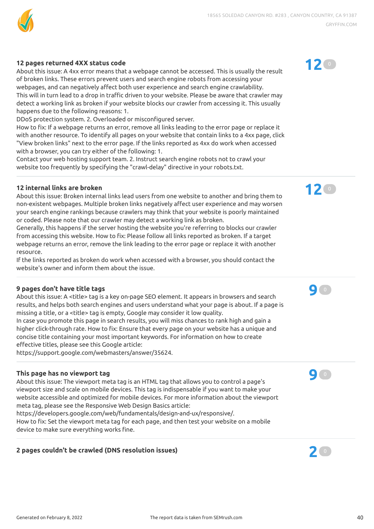

#### **12 pages returned 4XX status code**

About this issue: A 4xx error means that a webpage cannot be accessed. This is usually the result of broken links. These errors prevent users and search engine robots from accessing your webpages, and can negatively affect both user experience and search engine crawlability. This will in turn lead to a drop in traffic driven to your website. Please be aware that crawler may detect a working link as broken if your website blocks our crawler from accessing it. This usually happens due to the following reasons: 1.

DDoS protection system. 2. Overloaded or misconfigured server.

How to fix: If a webpage returns an error, remove all links leading to the error page or replace it with another resource. To identify all pages on your website that contain links to a 4xx page, click "View broken links" next to the error page. If the links reported as 4xx do work when accessed with a browser, you can try either of the following: 1.

Contact your web hosting support team. 2. Instruct search engine robots not to crawl your website too frequently by specifying the "crawl-delay" directive in your robots.txt.

#### **12 internal links are broken**

About this issue: Broken internal links lead users from one website to another and bring them to non-existent webpages. Multiple broken links negatively affect user experience and may worsen your search engine rankings because crawlers may think that your website is poorly maintained or coded. Please note that our crawler may detect a working link as broken.

Generally, this happens if the server hosting the website you're referring to blocks our crawler from accessing this website. How to fix: Please follow all links reported as broken. If a target webpage returns an error, remove the link leading to the error page or replace it with another resource.

If the links reported as broken do work when accessed with a browser, you should contact the website's owner and inform them about the issue.

#### **9 pages don't have title tags**

About this issue: A <title> tag is a key on-page SEO element. It appears in browsers and search results, and helps both search engines and users understand what your page is about. If a page is missing a title, or a <title> tag is empty, Google may consider it low quality. In case you promote this page in search results, you will miss chances to rank high and gain a

higher click-through rate. How to fix: Ensure that every page on your website has a unique and concise title containing your most important keywords. For information on how to create effective titles, please see this Google article:

https://support.google.com/webmasters/answer/35624.

#### **This page has no viewport tag**

About this issue: The viewport meta tag is an HTML tag that allows you to control a page's viewport size and scale on mobile devices. This tag is indispensable if you want to make your website accessible and optimized for mobile devices. For more information about the viewport meta tag, please see the Responsive Web Design Basics article:

https://developers.google.com/web/fundamentals/design-and-ux/responsive/.

How to fix: Set the viewport meta tag for each page, and then test your website on a mobile device to make sure everything works fine.

## **<sup>2</sup> pages couldn't be crawled (DNS resolution issues) 2** <sup>0</sup>









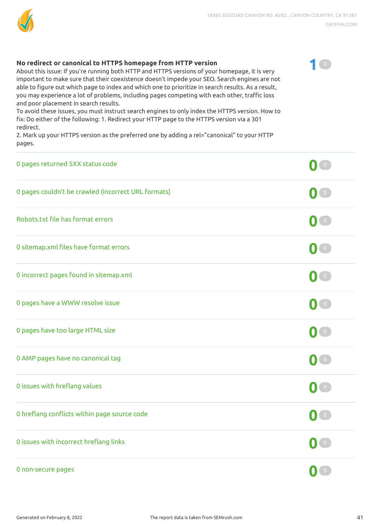

**1** <sup>0</sup>

#### **No redirect or canonical to HTTPS homepage from HTTP version**

About this issue: If you're running both HTTP and HTTPS versions of your homepage, it is very important to make sure that their coexistence doesn't impede your SEO. Search engines are not able to figure out which page to index and which one to prioritize in search results. As a result, you may experience a lot of problems, including pages competing with each other, traffic loss and poor placement in search results.

To avoid these issues, you must instruct search engines to only index the HTTPS version. How to x: Do either of the following: 1. Redirect your HTTP page to the HTTPS version via a 301 redirect.

2. Mark up your HTTPS version as the preferred one by adding a rel="canonical" to your HTTP pages.

| 0 pages returned 5XX status code                    |                                   |
|-----------------------------------------------------|-----------------------------------|
| 0 pages couldn't be crawled (incorrect URL formats) | $\mathbf{O}$ $\bullet$            |
| Robots.txt file has format errors                   | $\mathbf{O}$ $\mathbf{O}$         |
| 0 sitemap.xml files have format errors              | $\bigcap$ $\circ$                 |
| 0 incorrect pages found in sitemap.xml              | $\mathbf{O}$ $\mathbf{O}$         |
| 0 pages have a WWW resolve issue                    | $\begin{pmatrix} 0 \end{pmatrix}$ |
| 0 pages have too large HTML size                    | $\mathbf{0}$ $\bullet$            |
| 0 AMP pages have no canonical tag                   | $\mathbf{O}$ $\mathbf{O}$         |
| 0 issues with hreflang values                       | $\mathbf{0}$ $\mathbf{C}$         |
| 0 hreflang conflicts within page source code        | $\begin{pmatrix} 0 \end{pmatrix}$ |
| 0 issues with incorrect hreflang links              | $\begin{bmatrix} 0 \end{bmatrix}$ |
| 0 non-secure pages                                  | $\overline{0}$                    |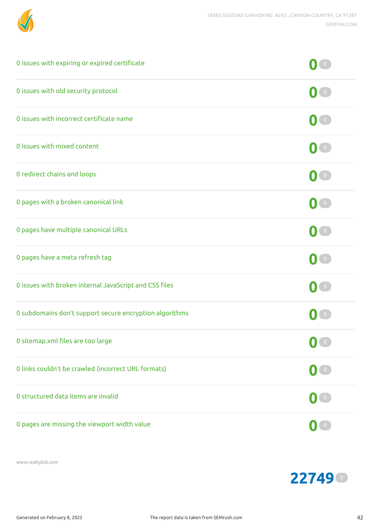

| 0 issues with expiring or expired certificate           |                                                             |
|---------------------------------------------------------|-------------------------------------------------------------|
| 0 issues with old security protocol                     | $\begin{pmatrix} 0 \end{pmatrix}$                           |
| 0 issues with incorrect certificate name                | $\mathbf{O}$ $\mathbf{I}$ $\circ$                           |
| 0 issues with mixed content                             | $\mathbf{0}$ $\mathbf{1}$                                   |
| 0 redirect chains and loops                             | $\langle 0 \rangle$                                         |
| 0 pages with a broken canonical link                    | $\left( 0\right)$                                           |
| 0 pages have multiple canonical URLs                    | $\mathbf{M}$ or                                             |
| 0 pages have a meta refresh tag                         | $\vert 0 \rangle$                                           |
| 0 issues with broken internal JavaScript and CSS files  | $\begin{pmatrix} 0 \end{pmatrix}$                           |
| 0 subdomains don't support secure encryption algorithms | $\overline{0}$                                              |
| 0 sitemap.xml files are too large                       |                                                             |
| 0 links couldn't be crawled (incorrect URL formats)     | $\mathbf{0}$ $\bullet$                                      |
| 0 structured data items are invalid                     | $\begin{pmatrix} 0 \end{pmatrix}$                           |
| 0 pages are missing the viewport width value            | $\left( \begin{matrix} 0 & 0 \\ 0 & 0 \end{matrix} \right)$ |

www.realtybid.com

<sup>0</sup>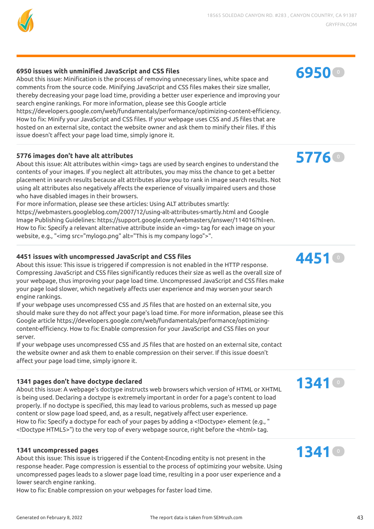

#### **6950 issues with unminied JavaScript and CSS les**

About this issue: Minification is the process of removing unnecessary lines, white space and comments from the source code. Minifying JavaScript and CSS files makes their size smaller, thereby decreasing your page load time, providing a better user experience and improving your search engine rankings. For more information, please see this Google article https://developers.google.com/web/fundamentals/performance/optimizing-content-efficiency. How to fix: Minify your JavaScript and CSS files. If your webpage uses CSS and JS files that are hosted on an external site, contact the website owner and ask them to minify their files. If this issue doesn't affect your page load time, simply ignore it.

#### **5776 images don't have alt attributes**

About this issue: Alt attributes within <img> tags are used by search engines to understand the contents of your images. If you neglect alt attributes, you may miss the chance to get a better placement in search results because alt attributes allow you to rank in image search results. Not using alt attributes also negatively affects the experience of visually impaired users and those who have disabled images in their browsers.

For more information, please see these articles: Using ALT attributes smartly: https://webmasters.googleblog.com/2007/12/using-alt-attributes-smartly.html and Google Image Publishing Guidelines: https://support.google.com/webmasters/answer/114016?hl=en. How to fix: Specify a relevant alternative attribute inside an <img> tag for each image on your website, e.g., "<img src="mylogo.png" alt="This is my company logo">".

#### **4451 issues with uncompressed JavaScript and CSS les**

About this issue: This issue is triggered if compression is not enabled in the HTTP response. Compressing JavaScript and CSS files significantly reduces their size as well as the overall size of your webpage, thus improving your page load time. Uncompressed JavaScript and CSS files make your page load slower, which negatively affects user experience and may worsen your search engine rankings.

If your webpage uses uncompressed CSS and JS files that are hosted on an external site, you should make sure they do not affect your page's load time. For more information, please see this Google article https://developers.google.com/web/fundamentals/performance/optimizingcontent-efficiency. How to fix: Enable compression for your JavaScript and CSS files on your server.

If your webpage uses uncompressed CSS and JS files that are hosted on an external site, contact the website owner and ask them to enable compression on their server. If this issue doesn't affect your page load time, simply ignore it.

#### **1341 pages don't have doctype declared**

About this issue: A webpage's doctype instructs web browsers which version of HTML or XHTML is being used. Declaring a doctype is extremely important in order for a page's content to load properly. If no doctype is specified, this may lead to various problems, such as messed up page content or slow page load speed, and, as a result, negatively affect user experience. How to fix: Specify a doctype for each of your pages by adding a <!Doctype> element (e.g., " <!Doctype HTML5>") to the very top of every webpage source, right before the <html> tag.

#### **1341 uncompressed pages**

About this issue: This issue is triggered if the Content-Encoding entity is not present in the response header. Page compression is essential to the process of optimizing your website. Using uncompressed pages leads to a slower page load time, resulting in a poor user experience and a lower search engine ranking.

How to fix: Enable compression on your webpages for faster load time.

## **5776** <sup>0</sup>



## **1341** <sup>0</sup>

## **1341** <sup>0</sup>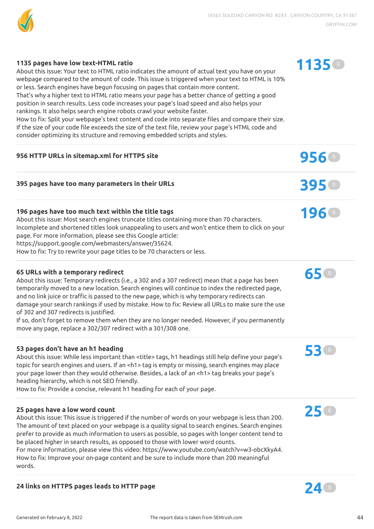

**1135** <sup>0</sup>

**196** <sup>0</sup>

**65** <sup>0</sup>

**53** <sup>0</sup>

**25** <sup>0</sup>

#### **1135 pages have low text-HTML ratio**

About this issue: Your text to HTML ratio indicates the amount of actual text you have on your webpage compared to the amount of code. This issue is triggered when your text to HTML is 10% or less. Search engines have begun focusing on pages that contain more content.

That's why a higher text to HTML ratio means your page has a better chance of getting a good position in search results. Less code increases your page's load speed and also helps your rankings. It also helps search engine robots crawl your website faster.

How to fix: Split your webpage's text content and code into separate files and compare their size. If the size of your code file exceeds the size of the text file, review your page's HTML code and consider optimizing its structure and removing embedded scripts and styles.

## **<sup>956</sup> HTTP URLs in sitemap.xml for HTTPS site 956** <sup>0</sup>

## **<sup>395</sup> pages have too many parameters in their URLs 395** <sup>0</sup>

#### **196 pages have too much text within the title tags**

About this issue: Most search engines truncate titles containing more than 70 characters. Incomplete and shortened titles look unappealing to users and won't entice them to click on your page. For more information, please see this Google article: https://support.google.com/webmasters/answer/35624. How to fix: Try to rewrite your page titles to be 70 characters or less.

#### **65 URLs with a temporary redirect**

About this issue: Temporary redirects (i.e., a 302 and a 307 redirect) mean that a page has been temporarily moved to a new location. Search engines will continue to index the redirected page, and no link juice or traffic is passed to the new page, which is why temporary redirects can damage your search rankings if used by mistake. How to fix: Review all URLs to make sure the use of 302 and 307 redirects is justified.

If so, don't forget to remove them when they are no longer needed. However, if you permanently move any page, replace a 302/307 redirect with a 301/308 one.

#### **53 pages don't have an h1 heading**

About this issue: While less important than <title> tags, h1 headings still help define your page's topic for search engines and users. If an <h1> tag is empty or missing, search engines may place your page lower than they would otherwise. Besides, a lack of an <h1> tag breaks your page's heading hierarchy, which is not SEO friendly.

How to fix: Provide a concise, relevant h1 heading for each of your page.

#### **25 pages have a low word count**

About this issue: This issue is triggered if the number of words on your webpage is less than 200. The amount of text placed on your webpage is a quality signal to search engines. Search engines prefer to provide as much information to users as possible, so pages with longer content tend to be placed higher in search results, as opposed to those with lower word counts. For more information, please view this video: https://www.youtube.com/watch?v=w3-obcXkyA4. How to fix: Improve your on-page content and be sure to include more than 200 meaningful

## **<sup>24</sup> links on HTTPS pages leads to HTTP page 24** <sup>0</sup>



words.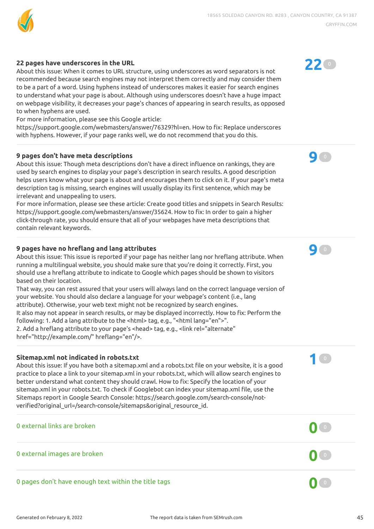

#### **22 pages have underscores in the URL**

About this issue: When it comes to URL structure, using underscores as word separators is not recommended because search engines may not interpret them correctly and may consider them to be a part of a word. Using hyphens instead of underscores makes it easier for search engines to understand what your page is about. Although using underscores doesn't have a huge impact on webpage visibility, it decreases your page's chances of appearing in search results, as opposed to when hyphens are used.

For more information, please see this Google article:

https://support.google.com/webmasters/answer/76329?hl=en. How to fix: Replace underscores with hyphens. However, if your page ranks well, we do not recommend that you do this.

#### **9 pages don't have meta descriptions**

About this issue: Though meta descriptions don't have a direct influence on rankings, they are used by search engines to display your page's description in search results. A good description helps users know what your page is about and encourages them to click on it. If your page's meta description tag is missing, search engines will usually display its first sentence, which may be irrelevant and unappealing to users.

For more information, please see these article: Create good titles and snippets in Search Results: https://support.google.com/webmasters/answer/35624. How to fix: In order to gain a higher click-through rate, you should ensure that all of your webpages have meta descriptions that contain relevant keywords.

#### **9 pages have no hreang and lang attributes**

About this issue: This issue is reported if your page has neither lang nor hreflang attribute. When running a multilingual website, you should make sure that you're doing it correctly. First, you should use a hreflang attribute to indicate to Google which pages should be shown to visitors based on their location.

That way, you can rest assured that your users will always land on the correct language version of your website. You should also declare a language for your webpage's content (i.e., lang attribute). Otherwise, your web text might not be recognized by search engines. It also may not appear in search results, or may be displayed incorrectly. How to fix: Perform the following: 1. Add a lang attribute to the <html> tag, e.g., "<html lang="en">". 2. Add a hreflang attribute to your page's <head> tag, e.g., <link rel="alternate" href="http://example.com/" hreflang="en"/>.

#### **Sitemap.xml not indicated in robots.txt**

About this issue: If you have both a sitemap.xml and a robots.txt file on your website, it is a good practice to place a link to your sitemap.xml in your robots.txt, which will allow search engines to better understand what content they should crawl. How to fix: Specify the location of your sitemap.xml in your robots.txt. To check if Googlebot can index your sitemap.xml file, use the Sitemaps report in Google Search Console: https://search.google.com/search-console/notverified?original\_url=/search-console/sitemaps&original\_resource\_id.





**9** <sup>0</sup>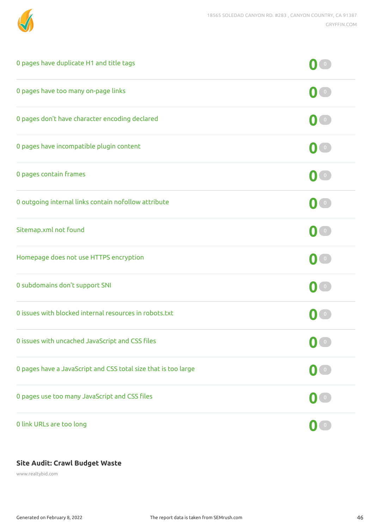

| 0 pages have duplicate H1 and title tags                       |                                   |
|----------------------------------------------------------------|-----------------------------------|
| 0 pages have too many on-page links                            | $\mathbf{0}$ $\mathbf{0}$         |
| 0 pages don't have character encoding declared                 | $\mathbf{0}$ $\mathbf{C}$         |
| 0 pages have incompatible plugin content                       | $\begin{pmatrix} 0 \end{pmatrix}$ |
| 0 pages contain frames                                         | $\mathbf{0}$ $\mathbf{0}$         |
| 0 outgoing internal links contain nofollow attribute           | $\mathbf{0}$ $\mathbf{I}$ $\circ$ |
| Sitemap.xml not found                                          | $\begin{pmatrix} 0 \end{pmatrix}$ |
| Homepage does not use HTTPS encryption                         | $\mathbf{O}$ $\mathbf{O}$         |
| 0 subdomains don't support SNI                                 | $\mathbf{M}$ o                    |
| 0 issues with blocked internal resources in robots.txt         | $\overline{0}$                    |
| 0 issues with uncached JavaScript and CSS files                | $\mathbf{0}$ $\circ$              |
| 0 pages have a JavaScript and CSS total size that is too large | $\begin{pmatrix} 0 \end{pmatrix}$ |
| 0 pages use too many JavaScript and CSS files                  | $\mathbf{O}(\mathbf{0})$          |
| 0 link URLs are too long                                       | $\mathbf{0}$ $\bullet$            |

## **Site Audit: Crawl Budget Waste**

www.realtybid.com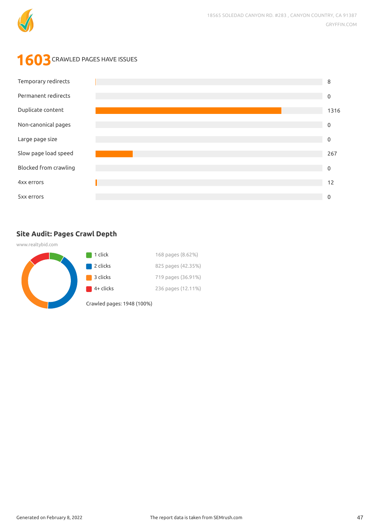

## **1603** CRAWLED PAGES HAVE ISSUES



## **Site Audit: Pages Crawl Depth**

www.realtybid.com

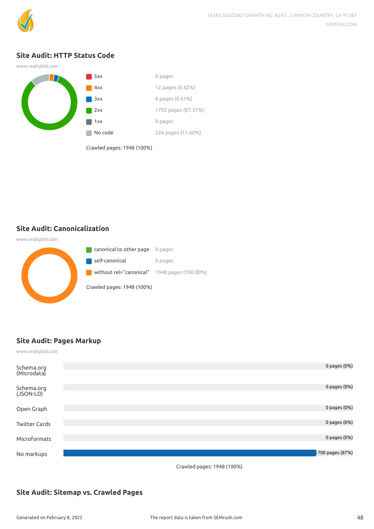

#### **Site Audit: HTTP Status Code**



Crawled pages: 1948 (100%)

**Site Audit: Canonicalization**

www.realtybid.com **C** canonical to other page 0 pages self-canonical 0 pages **STEP** without rel="canonical" 1948 pages (100.00%) Crawled pages: 1948 (100%)

### **Site Audit: Pages Markup**

www.realtybid.com

| Schema.org<br>(Microdata) | 0 pages (0%)     |
|---------------------------|------------------|
| Schema.org<br>(JSON-LD)   | 0 pages (0%)     |
| Open Graph                | 0 pages (0%)     |
| <b>Twitter Cards</b>      | 0 pages (0%)     |
| Microformats              | 0 pages (0%)     |
| No markups                | 1700 pages (87%) |

Crawled pages: 1948 (100%)

### **Site Audit: Sitemap vs. Crawled Pages**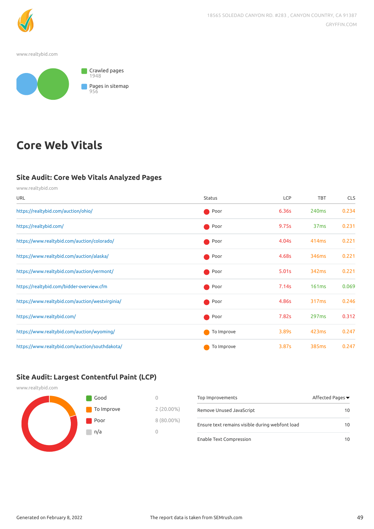

www.realtybid.com



## **Core Web Vitals**

#### **Site Audit: Core Web Vitals Analyzed Pages**

www.realtybid.com URL Status Status Communications of the Status Status Communications of the CLS of the CLS of the CLS of the CLS <https://realtybid.com/auction/ohio/> Poor 6.36s 240ms 0.234 <https://realtybid.com/> Poor 9.75s 37ms 0.231 <https://www.realtybid.com/auction/colorado/> Poor 4.04s 414ms 0.221 <https://www.realtybid.com/auction/alaska/> example and the community of the Poor and 4.68s 346ms 0.221 <https://www.realtybid.com/auction/vermont/> Poor 5.01s 342ms 0.221 <https://realtybid.com/bidder-overview.cfm> example and the example of the example of the example of the example of the example of the example of the example of the example of the example of the example of the example of the <https://www.realtybid.com/auction/westvirginia/> Poor 2.246 2.246 and 2.246 and 2.246 and 2.246 and 2.246 and 2.246 and 2.246 and 2.246 and 2.246 and 2.246 and 2.246 and 2.246 and 2.246 and 2.246 and 2.246 and 2.246 and 2.2 <https://www.realtybid.com/> Poor 7.82s 297ms 0.312 <https://www.realtybid.com/auction/wyoming/> To Improve 3.89s 423ms 0.247 <https://www.realtybid.com/auction/southdakota/> To Improve 3.87s 385ms 0.247

#### **Site Audit: Largest Contentful Paint (LCP)**

| www.realtybid.com |            |              |                                                 |                  |
|-------------------|------------|--------------|-------------------------------------------------|------------------|
|                   | Good       |              | Top Improvements                                | Affected Pages ▼ |
|                   | To Improve | $2(20.00\%)$ | Remove Unused JavaScript                        | 10               |
|                   | Poor       | $8(80.00\%)$ | Ensure text remains visible during webfont load | 10               |
|                   | n/a        |              |                                                 |                  |
|                   |            |              | Enable Text Compression                         | 10               |